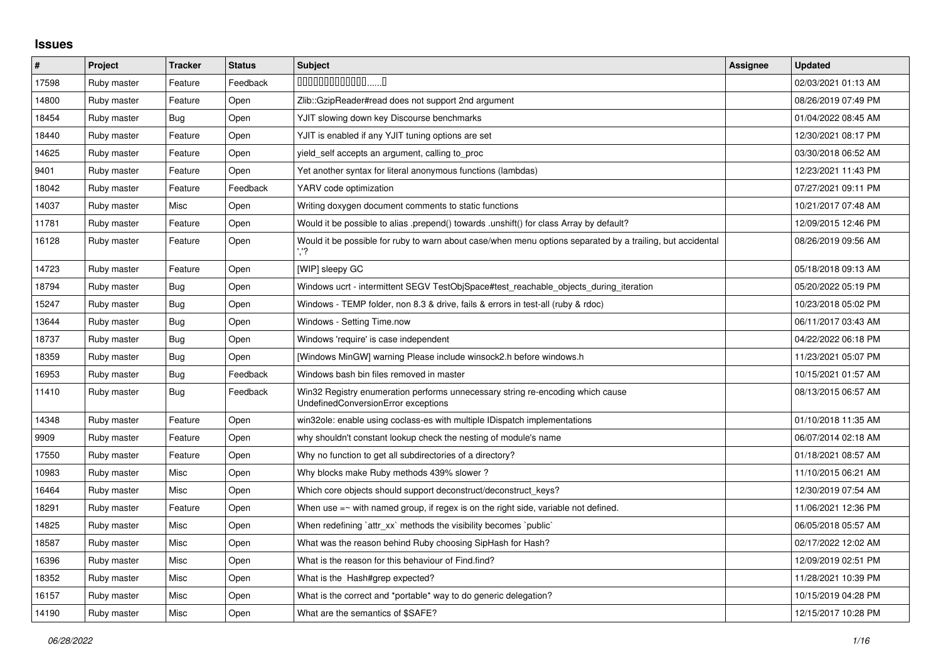## **Issues**

| $\vert$ # | Project     | <b>Tracker</b> | <b>Status</b> | <b>Subject</b>                                                                                                        | <b>Assignee</b> | <b>Updated</b>      |
|-----------|-------------|----------------|---------------|-----------------------------------------------------------------------------------------------------------------------|-----------------|---------------------|
| 17598     | Ruby master | Feature        | Feedback      | $0000000000000010$                                                                                                    |                 | 02/03/2021 01:13 AM |
| 14800     | Ruby master | Feature        | Open          | Zlib::GzipReader#read does not support 2nd argument                                                                   |                 | 08/26/2019 07:49 PM |
| 18454     | Ruby master | Bug            | Open          | YJIT slowing down key Discourse benchmarks                                                                            |                 | 01/04/2022 08:45 AM |
| 18440     | Ruby master | Feature        | Open          | YJIT is enabled if any YJIT tuning options are set                                                                    |                 | 12/30/2021 08:17 PM |
| 14625     | Ruby master | Feature        | Open          | yield_self accepts an argument, calling to_proc                                                                       |                 | 03/30/2018 06:52 AM |
| 9401      | Ruby master | Feature        | Open          | Yet another syntax for literal anonymous functions (lambdas)                                                          |                 | 12/23/2021 11:43 PM |
| 18042     | Ruby master | Feature        | Feedback      | YARV code optimization                                                                                                |                 | 07/27/2021 09:11 PM |
| 14037     | Ruby master | Misc           | Open          | Writing doxygen document comments to static functions                                                                 |                 | 10/21/2017 07:48 AM |
| 11781     | Ruby master | Feature        | Open          | Would it be possible to alias .prepend() towards .unshift() for class Array by default?                               |                 | 12/09/2015 12:46 PM |
| 16128     | Ruby master | Feature        | Open          | Would it be possible for ruby to warn about case/when menu options separated by a trailing, but accidental            |                 | 08/26/2019 09:56 AM |
| 14723     | Ruby master | Feature        | Open          | [WIP] sleepy GC                                                                                                       |                 | 05/18/2018 09:13 AM |
| 18794     | Ruby master | Bug            | Open          | Windows ucrt - intermittent SEGV TestObjSpace#test reachable objects during iteration                                 |                 | 05/20/2022 05:19 PM |
| 15247     | Ruby master | Bug            | Open          | Windows - TEMP folder, non 8.3 & drive, fails & errors in test-all (ruby & rdoc)                                      |                 | 10/23/2018 05:02 PM |
| 13644     | Ruby master | Bug            | Open          | Windows - Setting Time.now                                                                                            |                 | 06/11/2017 03:43 AM |
| 18737     | Ruby master | <b>Bug</b>     | Open          | Windows 'require' is case independent                                                                                 |                 | 04/22/2022 06:18 PM |
| 18359     | Ruby master | Bug            | Open          | [Windows MinGW] warning Please include winsock2.h before windows.h                                                    |                 | 11/23/2021 05:07 PM |
| 16953     | Ruby master | Bug            | Feedback      | Windows bash bin files removed in master                                                                              |                 | 10/15/2021 01:57 AM |
| 11410     | Ruby master | Bug            | Feedback      | Win32 Registry enumeration performs unnecessary string re-encoding which cause<br>UndefinedConversionError exceptions |                 | 08/13/2015 06:57 AM |
| 14348     | Ruby master | Feature        | Open          | win32ole: enable using coclass-es with multiple IDispatch implementations                                             |                 | 01/10/2018 11:35 AM |
| 9909      | Ruby master | Feature        | Open          | why shouldn't constant lookup check the nesting of module's name                                                      |                 | 06/07/2014 02:18 AM |
| 17550     | Ruby master | Feature        | Open          | Why no function to get all subdirectories of a directory?                                                             |                 | 01/18/2021 08:57 AM |
| 10983     | Ruby master | Misc           | Open          | Why blocks make Ruby methods 439% slower?                                                                             |                 | 11/10/2015 06:21 AM |
| 16464     | Ruby master | Misc           | Open          | Which core objects should support deconstruct/deconstruct_keys?                                                       |                 | 12/30/2019 07:54 AM |
| 18291     | Ruby master | Feature        | Open          | When use $=$ $\sim$ with named group, if regex is on the right side, variable not defined.                            |                 | 11/06/2021 12:36 PM |
| 14825     | Ruby master | Misc           | Open          | When redefining `attr_xx` methods the visibility becomes `public`                                                     |                 | 06/05/2018 05:57 AM |
| 18587     | Ruby master | Misc           | Open          | What was the reason behind Ruby choosing SipHash for Hash?                                                            |                 | 02/17/2022 12:02 AM |
| 16396     | Ruby master | Misc           | Open          | What is the reason for this behaviour of Find.find?                                                                   |                 | 12/09/2019 02:51 PM |
| 18352     | Ruby master | Misc           | Open          | What is the Hash#grep expected?                                                                                       |                 | 11/28/2021 10:39 PM |
| 16157     | Ruby master | Misc           | Open          | What is the correct and *portable* way to do generic delegation?                                                      |                 | 10/15/2019 04:28 PM |
| 14190     | Ruby master | Misc           | Open          | What are the semantics of \$SAFE?                                                                                     |                 | 12/15/2017 10:28 PM |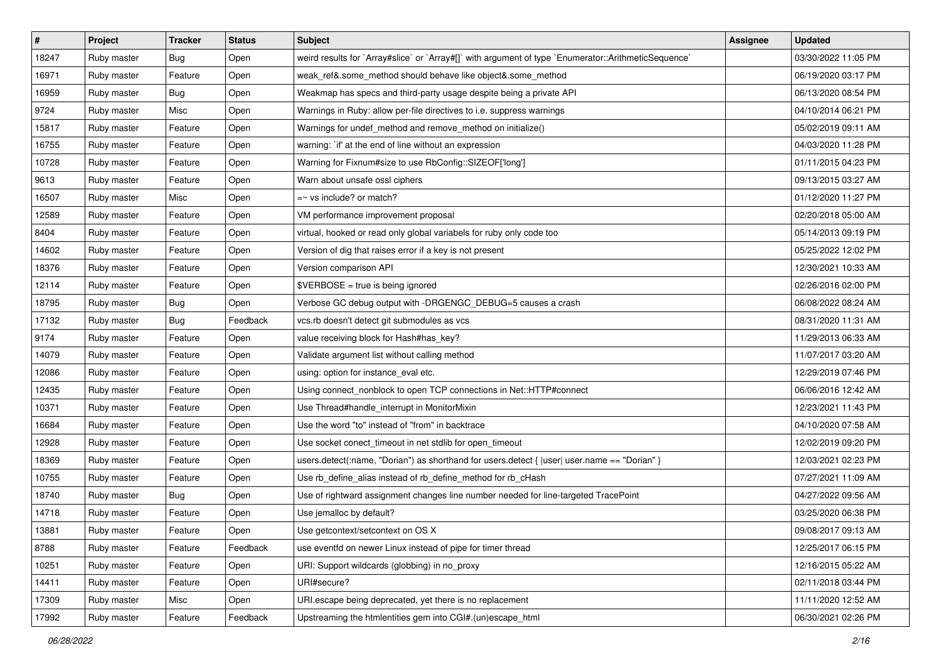| $\vert$ # | Project     | <b>Tracker</b> | <b>Status</b> | <b>Subject</b>                                                                                       | Assignee | <b>Updated</b>      |
|-----------|-------------|----------------|---------------|------------------------------------------------------------------------------------------------------|----------|---------------------|
| 18247     | Ruby master | <b>Bug</b>     | Open          | weird results for `Array#slice` or `Array#[]` with argument of type `Enumerator::ArithmeticSequence` |          | 03/30/2022 11:05 PM |
| 16971     | Ruby master | Feature        | Open          | weak_ref&.some_method should behave like object&.some_method                                         |          | 06/19/2020 03:17 PM |
| 16959     | Ruby master | Bug            | Open          | Weakmap has specs and third-party usage despite being a private API                                  |          | 06/13/2020 08:54 PM |
| 9724      | Ruby master | Misc           | Open          | Warnings in Ruby: allow per-file directives to i.e. suppress warnings                                |          | 04/10/2014 06:21 PM |
| 15817     | Ruby master | Feature        | Open          | Warnings for undef_method and remove_method on initialize()                                          |          | 05/02/2019 09:11 AM |
| 16755     | Ruby master | Feature        | Open          | warning: `if' at the end of line without an expression                                               |          | 04/03/2020 11:28 PM |
| 10728     | Ruby master | Feature        | Open          | Warning for Fixnum#size to use RbConfig::SIZEOF['long']                                              |          | 01/11/2015 04:23 PM |
| 9613      | Ruby master | Feature        | Open          | Warn about unsafe ossl ciphers                                                                       |          | 09/13/2015 03:27 AM |
| 16507     | Ruby master | Misc           | Open          | $=\sim$ vs include? or match?                                                                        |          | 01/12/2020 11:27 PM |
| 12589     | Ruby master | Feature        | Open          | VM performance improvement proposal                                                                  |          | 02/20/2018 05:00 AM |
| 8404      | Ruby master | Feature        | Open          | virtual, hooked or read only global variabels for ruby only code too                                 |          | 05/14/2013 09:19 PM |
| 14602     | Ruby master | Feature        | Open          | Version of dig that raises error if a key is not present                                             |          | 05/25/2022 12:02 PM |
| 18376     | Ruby master | Feature        | Open          | Version comparison API                                                                               |          | 12/30/2021 10:33 AM |
| 12114     | Ruby master | Feature        | Open          | \$VERBOSE = true is being ignored                                                                    |          | 02/26/2016 02:00 PM |
| 18795     | Ruby master | Bug            | Open          | Verbose GC debug output with -DRGENGC_DEBUG=5 causes a crash                                         |          | 06/08/2022 08:24 AM |
| 17132     | Ruby master | Bug            | Feedback      | vcs.rb doesn't detect git submodules as vcs                                                          |          | 08/31/2020 11:31 AM |
| 9174      | Ruby master | Feature        | Open          | value receiving block for Hash#has_key?                                                              |          | 11/29/2013 06:33 AM |
| 14079     | Ruby master | Feature        | Open          | Validate argument list without calling method                                                        |          | 11/07/2017 03:20 AM |
| 12086     | Ruby master | Feature        | Open          | using: option for instance_eval etc.                                                                 |          | 12/29/2019 07:46 PM |
| 12435     | Ruby master | Feature        | Open          | Using connect_nonblock to open TCP connections in Net::HTTP#connect                                  |          | 06/06/2016 12:42 AM |
| 10371     | Ruby master | Feature        | Open          | Use Thread#handle_interrupt in MonitorMixin                                                          |          | 12/23/2021 11:43 PM |
| 16684     | Ruby master | Feature        | Open          | Use the word "to" instead of "from" in backtrace                                                     |          | 04/10/2020 07:58 AM |
| 12928     | Ruby master | Feature        | Open          | Use socket conect_timeout in net stdlib for open_timeout                                             |          | 12/02/2019 09:20 PM |
| 18369     | Ruby master | Feature        | Open          | users.detect(:name, "Dorian") as shorthand for users.detect {  user  user.name == "Dorian" }         |          | 12/03/2021 02:23 PM |
| 10755     | Ruby master | Feature        | Open          | Use rb_define_alias instead of rb_define_method for rb_cHash                                         |          | 07/27/2021 11:09 AM |
| 18740     | Ruby master | <b>Bug</b>     | Open          | Use of rightward assignment changes line number needed for line-targeted TracePoint                  |          | 04/27/2022 09:56 AM |
| 14718     | Ruby master | Feature        | Open          | Use jemalloc by default?                                                                             |          | 03/25/2020 06:38 PM |
| 13881     | Ruby master | Feature        | Open          | Use getcontext/setcontext on OS X                                                                    |          | 09/08/2017 09:13 AM |
| 8788      | Ruby master | Feature        | Feedback      | use eventfd on newer Linux instead of pipe for timer thread                                          |          | 12/25/2017 06:15 PM |
| 10251     | Ruby master | Feature        | Open          | URI: Support wildcards (globbing) in no_proxy                                                        |          | 12/16/2015 05:22 AM |
| 14411     | Ruby master | Feature        | Open          | URI#secure?                                                                                          |          | 02/11/2018 03:44 PM |
| 17309     | Ruby master | Misc           | Open          | URI.escape being deprecated, yet there is no replacement                                             |          | 11/11/2020 12:52 AM |
| 17992     | Ruby master | Feature        | Feedback      | Upstreaming the htmlentities gem into CGI#.(un)escape_html                                           |          | 06/30/2021 02:26 PM |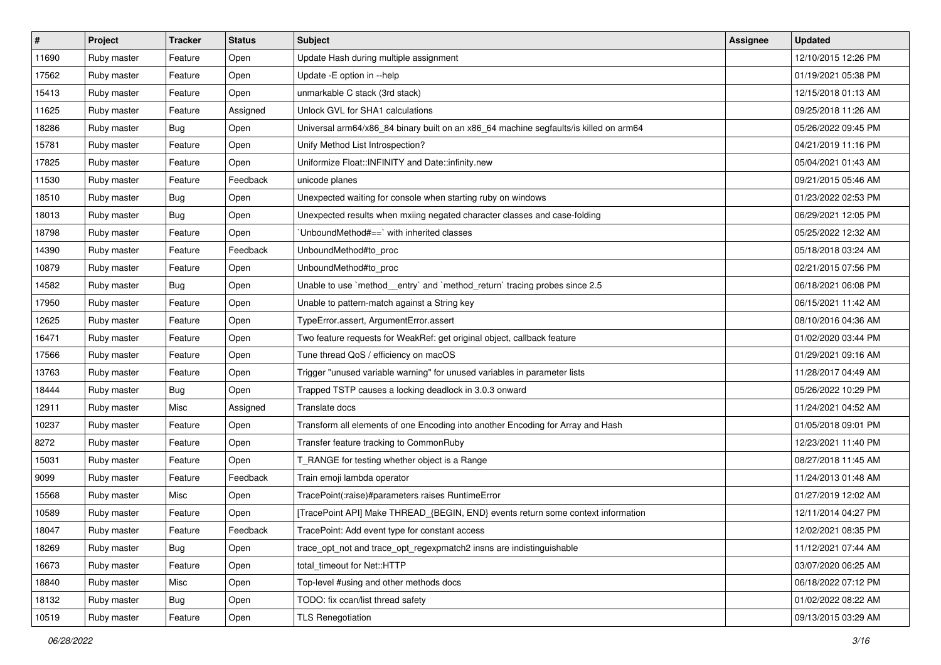| $\sharp$ | <b>Project</b> | <b>Tracker</b> | <b>Status</b> | Subject                                                                               | <b>Assignee</b> | <b>Updated</b>      |
|----------|----------------|----------------|---------------|---------------------------------------------------------------------------------------|-----------------|---------------------|
| 11690    | Ruby master    | Feature        | Open          | Update Hash during multiple assignment                                                |                 | 12/10/2015 12:26 PM |
| 17562    | Ruby master    | Feature        | Open          | Update - E option in -- help                                                          |                 | 01/19/2021 05:38 PM |
| 15413    | Ruby master    | Feature        | Open          | unmarkable C stack (3rd stack)                                                        |                 | 12/15/2018 01:13 AM |
| 11625    | Ruby master    | Feature        | Assigned      | Unlock GVL for SHA1 calculations                                                      |                 | 09/25/2018 11:26 AM |
| 18286    | Ruby master    | Bug            | Open          | Universal arm64/x86_84 binary built on an x86_64 machine segfaults/is killed on arm64 |                 | 05/26/2022 09:45 PM |
| 15781    | Ruby master    | Feature        | Open          | Unify Method List Introspection?                                                      |                 | 04/21/2019 11:16 PM |
| 17825    | Ruby master    | Feature        | Open          | Uniformize Float::INFINITY and Date::infinity.new                                     |                 | 05/04/2021 01:43 AM |
| 11530    | Ruby master    | Feature        | Feedback      | unicode planes                                                                        |                 | 09/21/2015 05:46 AM |
| 18510    | Ruby master    | <b>Bug</b>     | Open          | Unexpected waiting for console when starting ruby on windows                          |                 | 01/23/2022 02:53 PM |
| 18013    | Ruby master    | <b>Bug</b>     | Open          | Unexpected results when mxiing negated character classes and case-folding             |                 | 06/29/2021 12:05 PM |
| 18798    | Ruby master    | Feature        | Open          | UnboundMethod#==`with inherited classes                                               |                 | 05/25/2022 12:32 AM |
| 14390    | Ruby master    | Feature        | Feedback      | UnboundMethod#to_proc                                                                 |                 | 05/18/2018 03:24 AM |
| 10879    | Ruby master    | Feature        | Open          | UnboundMethod#to_proc                                                                 |                 | 02/21/2015 07:56 PM |
| 14582    | Ruby master    | Bug            | Open          | Unable to use `method_entry` and `method_return` tracing probes since 2.5             |                 | 06/18/2021 06:08 PM |
| 17950    | Ruby master    | Feature        | Open          | Unable to pattern-match against a String key                                          |                 | 06/15/2021 11:42 AM |
| 12625    | Ruby master    | Feature        | Open          | TypeError.assert, ArgumentError.assert                                                |                 | 08/10/2016 04:36 AM |
| 16471    | Ruby master    | Feature        | Open          | Two feature requests for WeakRef: get original object, callback feature               |                 | 01/02/2020 03:44 PM |
| 17566    | Ruby master    | Feature        | Open          | Tune thread QoS / efficiency on macOS                                                 |                 | 01/29/2021 09:16 AM |
| 13763    | Ruby master    | Feature        | Open          | Trigger "unused variable warning" for unused variables in parameter lists             |                 | 11/28/2017 04:49 AM |
| 18444    | Ruby master    | <b>Bug</b>     | Open          | Trapped TSTP causes a locking deadlock in 3.0.3 onward                                |                 | 05/26/2022 10:29 PM |
| 12911    | Ruby master    | Misc           | Assigned      | Translate docs                                                                        |                 | 11/24/2021 04:52 AM |
| 10237    | Ruby master    | Feature        | Open          | Transform all elements of one Encoding into another Encoding for Array and Hash       |                 | 01/05/2018 09:01 PM |
| 8272     | Ruby master    | Feature        | Open          | Transfer feature tracking to CommonRuby                                               |                 | 12/23/2021 11:40 PM |
| 15031    | Ruby master    | Feature        | Open          | T_RANGE for testing whether object is a Range                                         |                 | 08/27/2018 11:45 AM |
| 9099     | Ruby master    | Feature        | Feedback      | Train emoji lambda operator                                                           |                 | 11/24/2013 01:48 AM |
| 15568    | Ruby master    | Misc           | Open          | TracePoint(:raise)#parameters raises RuntimeError                                     |                 | 01/27/2019 12:02 AM |
| 10589    | Ruby master    | Feature        | Open          | [TracePoint API] Make THREAD_{BEGIN, END} events return some context information      |                 | 12/11/2014 04:27 PM |
| 18047    | Ruby master    | Feature        | Feedback      | TracePoint: Add event type for constant access                                        |                 | 12/02/2021 08:35 PM |
| 18269    | Ruby master    | Bug            | Open          | trace_opt_not and trace_opt_regexpmatch2 insns are indistinguishable                  |                 | 11/12/2021 07:44 AM |
| 16673    | Ruby master    | Feature        | Open          | total_timeout for Net::HTTP                                                           |                 | 03/07/2020 06:25 AM |
| 18840    | Ruby master    | Misc           | Open          | Top-level #using and other methods docs                                               |                 | 06/18/2022 07:12 PM |
| 18132    | Ruby master    | <b>Bug</b>     | Open          | TODO: fix ccan/list thread safety                                                     |                 | 01/02/2022 08:22 AM |
| 10519    | Ruby master    | Feature        | Open          | <b>TLS Renegotiation</b>                                                              |                 | 09/13/2015 03:29 AM |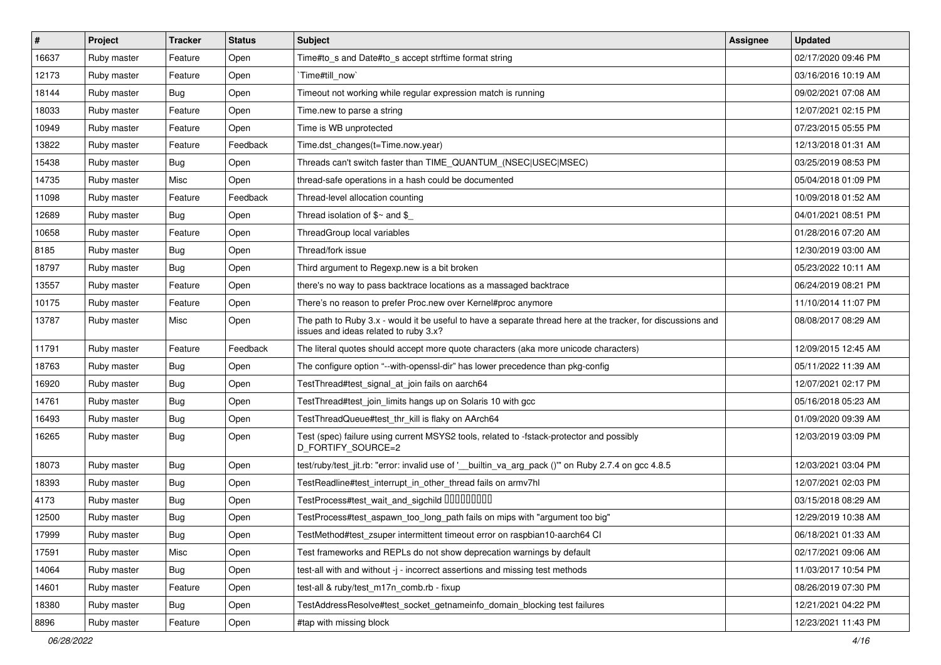| #     | Project     | <b>Tracker</b> | <b>Status</b> | <b>Subject</b>                                                                                                                                        | Assignee | <b>Updated</b>      |
|-------|-------------|----------------|---------------|-------------------------------------------------------------------------------------------------------------------------------------------------------|----------|---------------------|
| 16637 | Ruby master | Feature        | Open          | Time#to s and Date#to s accept strftime format string                                                                                                 |          | 02/17/2020 09:46 PM |
| 12173 | Ruby master | Feature        | Open          | Time#till now`                                                                                                                                        |          | 03/16/2016 10:19 AM |
| 18144 | Ruby master | Bug            | Open          | Timeout not working while regular expression match is running                                                                                         |          | 09/02/2021 07:08 AM |
| 18033 | Ruby master | Feature        | Open          | Time.new to parse a string                                                                                                                            |          | 12/07/2021 02:15 PM |
| 10949 | Ruby master | Feature        | Open          | Time is WB unprotected                                                                                                                                |          | 07/23/2015 05:55 PM |
| 13822 | Ruby master | Feature        | Feedback      | Time.dst_changes(t=Time.now.year)                                                                                                                     |          | 12/13/2018 01:31 AM |
| 15438 | Ruby master | Bug            | Open          | Threads can't switch faster than TIME QUANTUM (NSEC USEC MSEC)                                                                                        |          | 03/25/2019 08:53 PM |
| 14735 | Ruby master | Misc           | Open          | thread-safe operations in a hash could be documented                                                                                                  |          | 05/04/2018 01:09 PM |
| 11098 | Ruby master | Feature        | Feedback      | Thread-level allocation counting                                                                                                                      |          | 10/09/2018 01:52 AM |
| 12689 | Ruby master | <b>Bug</b>     | Open          | Thread isolation of $$~$ and \$                                                                                                                       |          | 04/01/2021 08:51 PM |
| 10658 | Ruby master | Feature        | Open          | ThreadGroup local variables                                                                                                                           |          | 01/28/2016 07:20 AM |
| 8185  | Ruby master | Bug            | Open          | Thread/fork issue                                                                                                                                     |          | 12/30/2019 03:00 AM |
| 18797 | Ruby master | <b>Bug</b>     | Open          | Third argument to Regexp.new is a bit broken                                                                                                          |          | 05/23/2022 10:11 AM |
| 13557 | Ruby master | Feature        | Open          | there's no way to pass backtrace locations as a massaged backtrace                                                                                    |          | 06/24/2019 08:21 PM |
| 10175 | Ruby master | Feature        | Open          | There's no reason to prefer Proc.new over Kernel#proc anymore                                                                                         |          | 11/10/2014 11:07 PM |
| 13787 | Ruby master | Misc           | Open          | The path to Ruby 3.x - would it be useful to have a separate thread here at the tracker, for discussions and<br>issues and ideas related to ruby 3.x? |          | 08/08/2017 08:29 AM |
| 11791 | Ruby master | Feature        | Feedback      | The literal quotes should accept more quote characters (aka more unicode characters)                                                                  |          | 12/09/2015 12:45 AM |
| 18763 | Ruby master | Bug            | Open          | The configure option "--with-openssl-dir" has lower precedence than pkg-config                                                                        |          | 05/11/2022 11:39 AM |
| 16920 | Ruby master | Bug            | Open          | TestThread#test_signal_at_join fails on aarch64                                                                                                       |          | 12/07/2021 02:17 PM |
| 14761 | Ruby master | <b>Bug</b>     | Open          | TestThread#test_join_limits hangs up on Solaris 10 with gcc                                                                                           |          | 05/16/2018 05:23 AM |
| 16493 | Ruby master | <b>Bug</b>     | Open          | TestThreadQueue#test_thr_kill is flaky on AArch64                                                                                                     |          | 01/09/2020 09:39 AM |
| 16265 | Ruby master | <b>Bug</b>     | Open          | Test (spec) failure using current MSYS2 tools, related to -fstack-protector and possibly<br>D_FORTIFY_SOURCE=2                                        |          | 12/03/2019 03:09 PM |
| 18073 | Ruby master | Bug            | Open          | test/ruby/test_jit.rb: "error: invalid use of ' builtin_va_arg_pack ()" on Ruby 2.7.4 on gcc 4.8.5                                                    |          | 12/03/2021 03:04 PM |
| 18393 | Ruby master | <b>Bug</b>     | Open          | TestReadline#test interrupt in other thread fails on armv7hl                                                                                          |          | 12/07/2021 02:03 PM |
| 4173  | Ruby master | <b>Bug</b>     | Open          | TestProcess#test_wait_and_sigchild 00000000                                                                                                           |          | 03/15/2018 08:29 AM |
| 12500 | Ruby master | Bug            | Open          | TestProcess#test_aspawn_too_long_path fails on mips with "argument too big"                                                                           |          | 12/29/2019 10:38 AM |
| 17999 | Ruby master | Bug            | Open          | TestMethod#test_zsuper intermittent timeout error on raspbian10-aarch64 CI                                                                            |          | 06/18/2021 01:33 AM |
| 17591 | Ruby master | Misc           | Open          | Test frameworks and REPLs do not show deprecation warnings by default                                                                                 |          | 02/17/2021 09:06 AM |
| 14064 | Ruby master | <b>Bug</b>     | Open          | test-all with and without -j - incorrect assertions and missing test methods                                                                          |          | 11/03/2017 10:54 PM |
| 14601 | Ruby master | Feature        | Open          | test-all & ruby/test_m17n_comb.rb - fixup                                                                                                             |          | 08/26/2019 07:30 PM |
| 18380 | Ruby master | <b>Bug</b>     | Open          | TestAddressResolve#test_socket_getnameinfo_domain_blocking test failures                                                                              |          | 12/21/2021 04:22 PM |
| 8896  | Ruby master | Feature        | Open          | #tap with missing block                                                                                                                               |          | 12/23/2021 11:43 PM |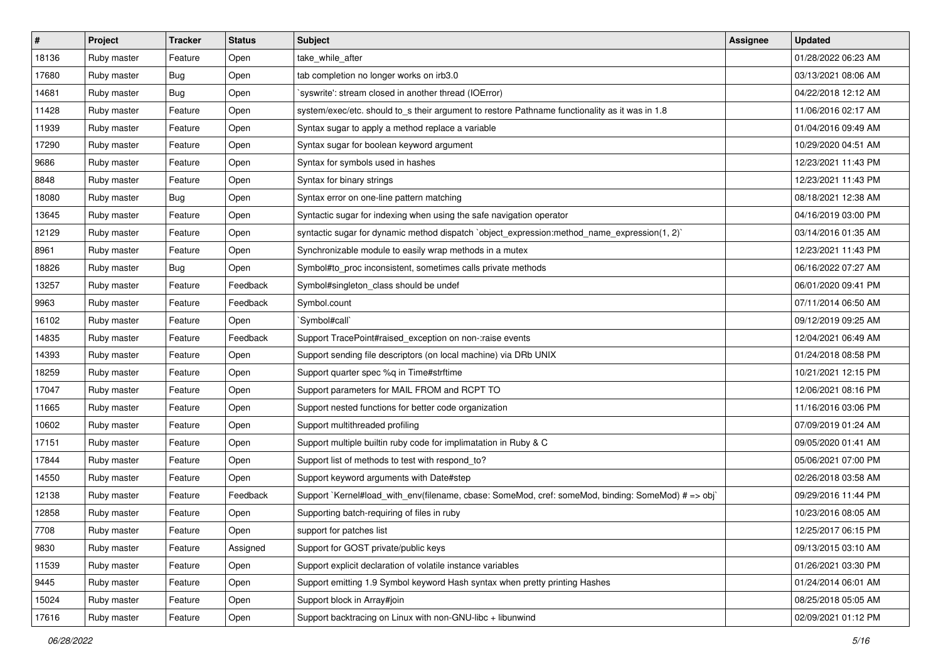| $\vert$ # | Project     | <b>Tracker</b> | <b>Status</b> | <b>Subject</b>                                                                                     | <b>Assignee</b> | <b>Updated</b>      |
|-----------|-------------|----------------|---------------|----------------------------------------------------------------------------------------------------|-----------------|---------------------|
| 18136     | Ruby master | Feature        | Open          | take_while_after                                                                                   |                 | 01/28/2022 06:23 AM |
| 17680     | Ruby master | Bug            | Open          | tab completion no longer works on irb3.0                                                           |                 | 03/13/2021 08:06 AM |
| 14681     | Ruby master | <b>Bug</b>     | Open          | 'syswrite': stream closed in another thread (IOError)                                              |                 | 04/22/2018 12:12 AM |
| 11428     | Ruby master | Feature        | Open          | system/exec/etc. should to_s their argument to restore Pathname functionality as it was in 1.8     |                 | 11/06/2016 02:17 AM |
| 11939     | Ruby master | Feature        | Open          | Syntax sugar to apply a method replace a variable                                                  |                 | 01/04/2016 09:49 AM |
| 17290     | Ruby master | Feature        | Open          | Syntax sugar for boolean keyword argument                                                          |                 | 10/29/2020 04:51 AM |
| 9686      | Ruby master | Feature        | Open          | Syntax for symbols used in hashes                                                                  |                 | 12/23/2021 11:43 PM |
| 8848      | Ruby master | Feature        | Open          | Syntax for binary strings                                                                          |                 | 12/23/2021 11:43 PM |
| 18080     | Ruby master | Bug            | Open          | Syntax error on one-line pattern matching                                                          |                 | 08/18/2021 12:38 AM |
| 13645     | Ruby master | Feature        | Open          | Syntactic sugar for indexing when using the safe navigation operator                               |                 | 04/16/2019 03:00 PM |
| 12129     | Ruby master | Feature        | Open          | syntactic sugar for dynamic method dispatch `object_expression:method_name_expression(1, 2)`       |                 | 03/14/2016 01:35 AM |
| 8961      | Ruby master | Feature        | Open          | Synchronizable module to easily wrap methods in a mutex                                            |                 | 12/23/2021 11:43 PM |
| 18826     | Ruby master | Bug            | Open          | Symbol#to_proc inconsistent, sometimes calls private methods                                       |                 | 06/16/2022 07:27 AM |
| 13257     | Ruby master | Feature        | Feedback      | Symbol#singleton_class should be undef                                                             |                 | 06/01/2020 09:41 PM |
| 9963      | Ruby master | Feature        | Feedback      | Symbol.count                                                                                       |                 | 07/11/2014 06:50 AM |
| 16102     | Ruby master | Feature        | Open          | `Symbol#call`                                                                                      |                 | 09/12/2019 09:25 AM |
| 14835     | Ruby master | Feature        | Feedback      | Support TracePoint#raised exception on non-:raise events                                           |                 | 12/04/2021 06:49 AM |
| 14393     | Ruby master | Feature        | Open          | Support sending file descriptors (on local machine) via DRb UNIX                                   |                 | 01/24/2018 08:58 PM |
| 18259     | Ruby master | Feature        | Open          | Support quarter spec %q in Time#strftime                                                           |                 | 10/21/2021 12:15 PM |
| 17047     | Ruby master | Feature        | Open          | Support parameters for MAIL FROM and RCPT TO                                                       |                 | 12/06/2021 08:16 PM |
| 11665     | Ruby master | Feature        | Open          | Support nested functions for better code organization                                              |                 | 11/16/2016 03:06 PM |
| 10602     | Ruby master | Feature        | Open          | Support multithreaded profiling                                                                    |                 | 07/09/2019 01:24 AM |
| 17151     | Ruby master | Feature        | Open          | Support multiple builtin ruby code for implimatation in Ruby & C                                   |                 | 09/05/2020 01:41 AM |
| 17844     | Ruby master | Feature        | Open          | Support list of methods to test with respond_to?                                                   |                 | 05/06/2021 07:00 PM |
| 14550     | Ruby master | Feature        | Open          | Support keyword arguments with Date#step                                                           |                 | 02/26/2018 03:58 AM |
| 12138     | Ruby master | Feature        | Feedback      | Support `Kernel#load_with_env(filename, cbase: SomeMod, cref: someMod, binding: SomeMod) # => obj` |                 | 09/29/2016 11:44 PM |
| 12858     | Ruby master | Feature        | Open          | Supporting batch-requiring of files in ruby                                                        |                 | 10/23/2016 08:05 AM |
| 7708      | Ruby master | Feature        | Open          | support for patches list                                                                           |                 | 12/25/2017 06:15 PM |
| 9830      | Ruby master | Feature        | Assigned      | Support for GOST private/public keys                                                               |                 | 09/13/2015 03:10 AM |
| 11539     | Ruby master | Feature        | Open          | Support explicit declaration of volatile instance variables                                        |                 | 01/26/2021 03:30 PM |
| 9445      | Ruby master | Feature        | Open          | Support emitting 1.9 Symbol keyword Hash syntax when pretty printing Hashes                        |                 | 01/24/2014 06:01 AM |
| 15024     | Ruby master | Feature        | Open          | Support block in Array#join                                                                        |                 | 08/25/2018 05:05 AM |
| 17616     | Ruby master | Feature        | Open          | Support backtracing on Linux with non-GNU-libc + libunwind                                         |                 | 02/09/2021 01:12 PM |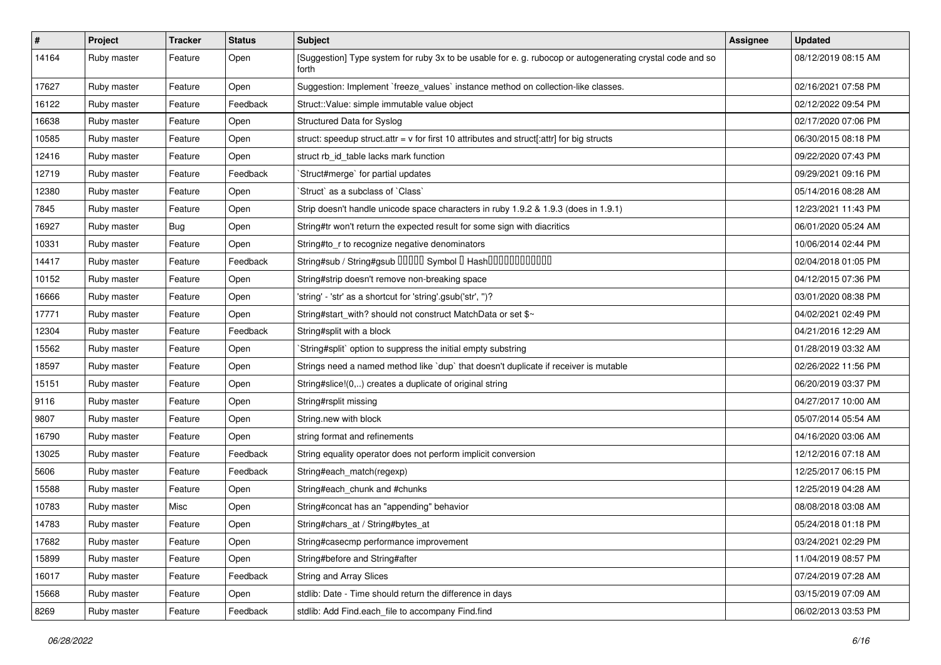| #     | Project     | <b>Tracker</b> | <b>Status</b> | Subject                                                                                                            | Assignee | <b>Updated</b>      |
|-------|-------------|----------------|---------------|--------------------------------------------------------------------------------------------------------------------|----------|---------------------|
| 14164 | Ruby master | Feature        | Open          | [Suggestion] Type system for ruby 3x to be usable for e. g. rubocop or autogenerating crystal code and so<br>forth |          | 08/12/2019 08:15 AM |
| 17627 | Ruby master | Feature        | Open          | Suggestion: Implement `freeze_values` instance method on collection-like classes.                                  |          | 02/16/2021 07:58 PM |
| 16122 | Ruby master | Feature        | Feedback      | Struct::Value: simple immutable value object                                                                       |          | 02/12/2022 09:54 PM |
| 16638 | Ruby master | Feature        | Open          | Structured Data for Syslog                                                                                         |          | 02/17/2020 07:06 PM |
| 10585 | Ruby master | Feature        | Open          | struct: speedup struct.attr = $v$ for first 10 attributes and struct[:attr] for big structs                        |          | 06/30/2015 08:18 PM |
| 12416 | Ruby master | Feature        | Open          | struct rb_id_table lacks mark function                                                                             |          | 09/22/2020 07:43 PM |
| 12719 | Ruby master | Feature        | Feedback      | Struct#merge` for partial updates                                                                                  |          | 09/29/2021 09:16 PM |
| 12380 | Ruby master | Feature        | Open          | 'Struct' as a subclass of 'Class'                                                                                  |          | 05/14/2016 08:28 AM |
| 7845  | Ruby master | Feature        | Open          | Strip doesn't handle unicode space characters in ruby 1.9.2 & 1.9.3 (does in 1.9.1)                                |          | 12/23/2021 11:43 PM |
| 16927 | Ruby master | <b>Bug</b>     | Open          | String#tr won't return the expected result for some sign with diacritics                                           |          | 06/01/2020 05:24 AM |
| 10331 | Ruby master | Feature        | Open          | String#to_r to recognize negative denominators                                                                     |          | 10/06/2014 02:44 PM |
| 14417 | Ruby master | Feature        | Feedback      | String#sub / String#gsub 00000 Symbol 0 Hash000000000000                                                           |          | 02/04/2018 01:05 PM |
| 10152 | Ruby master | Feature        | Open          | String#strip doesn't remove non-breaking space                                                                     |          | 04/12/2015 07:36 PM |
| 16666 | Ruby master | Feature        | Open          | 'string' - 'str' as a shortcut for 'string'.gsub('str', ")?                                                        |          | 03/01/2020 08:38 PM |
| 17771 | Ruby master | Feature        | Open          | String#start_with? should not construct MatchData or set \$~                                                       |          | 04/02/2021 02:49 PM |
| 12304 | Ruby master | Feature        | Feedback      | String#split with a block                                                                                          |          | 04/21/2016 12:29 AM |
| 15562 | Ruby master | Feature        | Open          | String#split` option to suppress the initial empty substring                                                       |          | 01/28/2019 03:32 AM |
| 18597 | Ruby master | Feature        | Open          | Strings need a named method like 'dup' that doesn't duplicate if receiver is mutable                               |          | 02/26/2022 11:56 PM |
| 15151 | Ruby master | Feature        | Open          | String#slice!(0,) creates a duplicate of original string                                                           |          | 06/20/2019 03:37 PM |
| 9116  | Ruby master | Feature        | Open          | String#rsplit missing                                                                                              |          | 04/27/2017 10:00 AM |
| 9807  | Ruby master | Feature        | Open          | String.new with block                                                                                              |          | 05/07/2014 05:54 AM |
| 16790 | Ruby master | Feature        | Open          | string format and refinements                                                                                      |          | 04/16/2020 03:06 AM |
| 13025 | Ruby master | Feature        | Feedback      | String equality operator does not perform implicit conversion                                                      |          | 12/12/2016 07:18 AM |
| 5606  | Ruby master | Feature        | Feedback      | String#each_match(regexp)                                                                                          |          | 12/25/2017 06:15 PM |
| 15588 | Ruby master | Feature        | Open          | String#each_chunk and #chunks                                                                                      |          | 12/25/2019 04:28 AM |
| 10783 | Ruby master | Misc           | Open          | String#concat has an "appending" behavior                                                                          |          | 08/08/2018 03:08 AM |
| 14783 | Ruby master | Feature        | Open          | String#chars_at / String#bytes_at                                                                                  |          | 05/24/2018 01:18 PM |
| 17682 | Ruby master | Feature        | Open          | String#casecmp performance improvement                                                                             |          | 03/24/2021 02:29 PM |
| 15899 | Ruby master | Feature        | Open          | String#before and String#after                                                                                     |          | 11/04/2019 08:57 PM |
| 16017 | Ruby master | Feature        | Feedback      | <b>String and Array Slices</b>                                                                                     |          | 07/24/2019 07:28 AM |
| 15668 | Ruby master | Feature        | Open          | stdlib: Date - Time should return the difference in days                                                           |          | 03/15/2019 07:09 AM |
| 8269  | Ruby master | Feature        | Feedback      | stdlib: Add Find.each_file to accompany Find.find                                                                  |          | 06/02/2013 03:53 PM |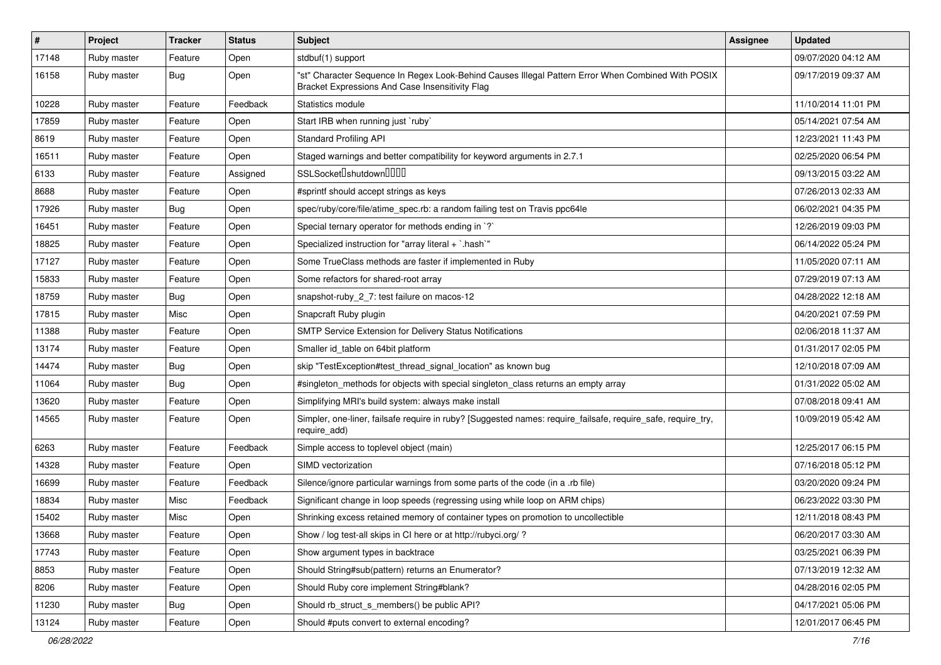| $\vert$ # | Project     | <b>Tracker</b> | <b>Status</b> | Subject                                                                                                                                               | <b>Assignee</b> | <b>Updated</b>      |
|-----------|-------------|----------------|---------------|-------------------------------------------------------------------------------------------------------------------------------------------------------|-----------------|---------------------|
| 17148     | Ruby master | Feature        | Open          | stdbuf(1) support                                                                                                                                     |                 | 09/07/2020 04:12 AM |
| 16158     | Ruby master | Bug            | Open          | "st" Character Sequence In Regex Look-Behind Causes Illegal Pattern Error When Combined With POSIX<br>Bracket Expressions And Case Insensitivity Flag |                 | 09/17/2019 09:37 AM |
| 10228     | Ruby master | Feature        | Feedback      | Statistics module                                                                                                                                     |                 | 11/10/2014 11:01 PM |
| 17859     | Ruby master | Feature        | Open          | Start IRB when running just `ruby`                                                                                                                    |                 | 05/14/2021 07:54 AM |
| 8619      | Ruby master | Feature        | Open          | <b>Standard Profiling API</b>                                                                                                                         |                 | 12/23/2021 11:43 PM |
| 16511     | Ruby master | Feature        | Open          | Staged warnings and better compatibility for keyword arguments in 2.7.1                                                                               |                 | 02/25/2020 06:54 PM |
| 6133      | Ruby master | Feature        | Assigned      | SSLSocket <sup>[</sup> shutdown <sup>[11]</sup>                                                                                                       |                 | 09/13/2015 03:22 AM |
| 8688      | Ruby master | Feature        | Open          | #sprintf should accept strings as keys                                                                                                                |                 | 07/26/2013 02:33 AM |
| 17926     | Ruby master | Bug            | Open          | spec/ruby/core/file/atime_spec.rb: a random failing test on Travis ppc64le                                                                            |                 | 06/02/2021 04:35 PM |
| 16451     | Ruby master | Feature        | Open          | Special ternary operator for methods ending in `?`                                                                                                    |                 | 12/26/2019 09:03 PM |
| 18825     | Ruby master | Feature        | Open          | Specialized instruction for "array literal + `.hash`"                                                                                                 |                 | 06/14/2022 05:24 PM |
| 17127     | Ruby master | Feature        | Open          | Some TrueClass methods are faster if implemented in Ruby                                                                                              |                 | 11/05/2020 07:11 AM |
| 15833     | Ruby master | Feature        | Open          | Some refactors for shared-root array                                                                                                                  |                 | 07/29/2019 07:13 AM |
| 18759     | Ruby master | Bug            | Open          | snapshot-ruby_2_7: test failure on macos-12                                                                                                           |                 | 04/28/2022 12:18 AM |
| 17815     | Ruby master | Misc           | Open          | Snapcraft Ruby plugin                                                                                                                                 |                 | 04/20/2021 07:59 PM |
| 11388     | Ruby master | Feature        | Open          | SMTP Service Extension for Delivery Status Notifications                                                                                              |                 | 02/06/2018 11:37 AM |
| 13174     | Ruby master | Feature        | Open          | Smaller id_table on 64bit platform                                                                                                                    |                 | 01/31/2017 02:05 PM |
| 14474     | Ruby master | <b>Bug</b>     | Open          | skip "TestException#test thread signal location" as known bug                                                                                         |                 | 12/10/2018 07:09 AM |
| 11064     | Ruby master | Bug            | Open          | #singleton_methods for objects with special singleton_class returns an empty array                                                                    |                 | 01/31/2022 05:02 AM |
| 13620     | Ruby master | Feature        | Open          | Simplifying MRI's build system: always make install                                                                                                   |                 | 07/08/2018 09:41 AM |
| 14565     | Ruby master | Feature        | Open          | Simpler, one-liner, failsafe require in ruby? [Suggested names: require_failsafe, require_safe, require_try,<br>require_add)                          |                 | 10/09/2019 05:42 AM |
| 6263      | Ruby master | Feature        | Feedback      | Simple access to toplevel object (main)                                                                                                               |                 | 12/25/2017 06:15 PM |
| 14328     | Ruby master | Feature        | Open          | SIMD vectorization                                                                                                                                    |                 | 07/16/2018 05:12 PM |
| 16699     | Ruby master | Feature        | Feedback      | Silence/ignore particular warnings from some parts of the code (in a .rb file)                                                                        |                 | 03/20/2020 09:24 PM |
| 18834     | Ruby master | Misc           | Feedback      | Significant change in loop speeds (regressing using while loop on ARM chips)                                                                          |                 | 06/23/2022 03:30 PM |
| 15402     | Ruby master | Misc           | Open          | Shrinking excess retained memory of container types on promotion to uncollectible                                                                     |                 | 12/11/2018 08:43 PM |
| 13668     | Ruby master | Feature        | Open          | Show / log test-all skips in CI here or at http://rubyci.org/ ?                                                                                       |                 | 06/20/2017 03:30 AM |
| 17743     | Ruby master | Feature        | Open          | Show argument types in backtrace                                                                                                                      |                 | 03/25/2021 06:39 PM |
| 8853      | Ruby master | Feature        | Open          | Should String#sub(pattern) returns an Enumerator?                                                                                                     |                 | 07/13/2019 12:32 AM |
| 8206      | Ruby master | Feature        | Open          | Should Ruby core implement String#blank?                                                                                                              |                 | 04/28/2016 02:05 PM |
| 11230     | Ruby master | <b>Bug</b>     | Open          | Should rb_struct_s_members() be public API?                                                                                                           |                 | 04/17/2021 05:06 PM |
| 13124     | Ruby master | Feature        | Open          | Should #puts convert to external encoding?                                                                                                            |                 | 12/01/2017 06:45 PM |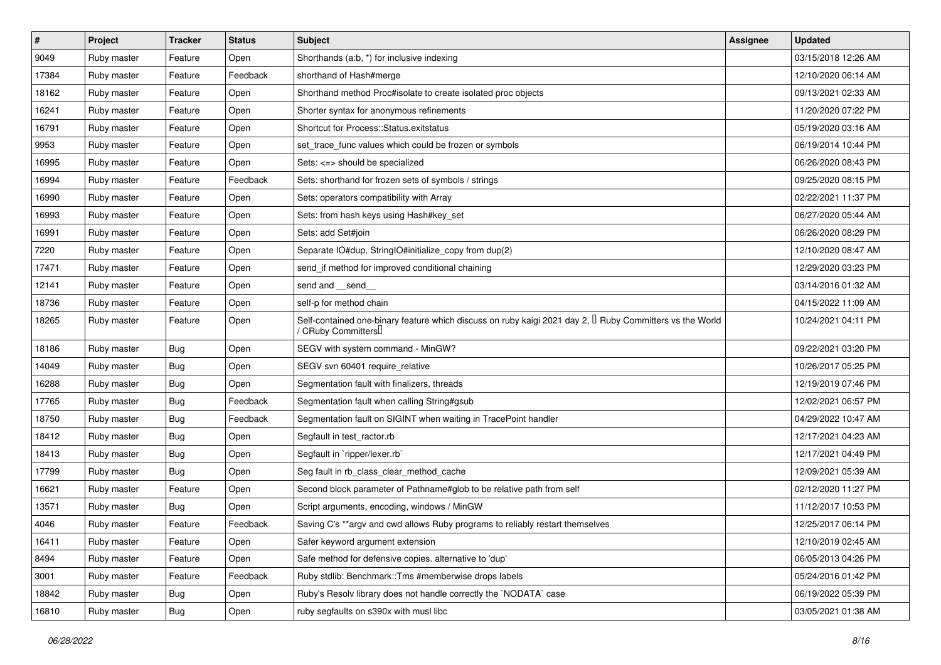| $\vert$ # | Project     | <b>Tracker</b> | <b>Status</b> | Subject                                                                                                                        | <b>Assignee</b> | <b>Updated</b>      |
|-----------|-------------|----------------|---------------|--------------------------------------------------------------------------------------------------------------------------------|-----------------|---------------------|
| 9049      | Ruby master | Feature        | Open          | Shorthands (a:b, *) for inclusive indexing                                                                                     |                 | 03/15/2018 12:26 AM |
| 17384     | Ruby master | Feature        | Feedback      | shorthand of Hash#merge                                                                                                        |                 | 12/10/2020 06:14 AM |
| 18162     | Ruby master | Feature        | Open          | Shorthand method Proc#isolate to create isolated proc objects                                                                  |                 | 09/13/2021 02:33 AM |
| 16241     | Ruby master | Feature        | Open          | Shorter syntax for anonymous refinements                                                                                       |                 | 11/20/2020 07:22 PM |
| 16791     | Ruby master | Feature        | Open          | Shortcut for Process::Status.exitstatus                                                                                        |                 | 05/19/2020 03:16 AM |
| 9953      | Ruby master | Feature        | Open          | set_trace_func values which could be frozen or symbols                                                                         |                 | 06/19/2014 10:44 PM |
| 16995     | Ruby master | Feature        | Open          | Sets: <=> should be specialized                                                                                                |                 | 06/26/2020 08:43 PM |
| 16994     | Ruby master | Feature        | Feedback      | Sets: shorthand for frozen sets of symbols / strings                                                                           |                 | 09/25/2020 08:15 PM |
| 16990     | Ruby master | Feature        | Open          | Sets: operators compatibility with Array                                                                                       |                 | 02/22/2021 11:37 PM |
| 16993     | Ruby master | Feature        | Open          | Sets: from hash keys using Hash#key_set                                                                                        |                 | 06/27/2020 05:44 AM |
| 16991     | Ruby master | Feature        | Open          | Sets: add Set#join                                                                                                             |                 | 06/26/2020 08:29 PM |
| 7220      | Ruby master | Feature        | Open          | Separate IO#dup, StringIO#initialize_copy from dup(2)                                                                          |                 | 12/10/2020 08:47 AM |
| 17471     | Ruby master | Feature        | Open          | send_if method for improved conditional chaining                                                                               |                 | 12/29/2020 03:23 PM |
| 12141     | Ruby master | Feature        | Open          | send and __send__                                                                                                              |                 | 03/14/2016 01:32 AM |
| 18736     | Ruby master | Feature        | Open          | self-p for method chain                                                                                                        |                 | 04/15/2022 11:09 AM |
| 18265     | Ruby master | Feature        | Open          | Self-contained one-binary feature which discuss on ruby kaigi 2021 day 2, I Ruby Committers vs the World<br>/ CRuby Committers |                 | 10/24/2021 04:11 PM |
| 18186     | Ruby master | Bug            | Open          | SEGV with system command - MinGW?                                                                                              |                 | 09/22/2021 03:20 PM |
| 14049     | Ruby master | Bug            | Open          | SEGV svn 60401 require relative                                                                                                |                 | 10/26/2017 05:25 PM |
| 16288     | Ruby master | <b>Bug</b>     | Open          | Segmentation fault with finalizers, threads                                                                                    |                 | 12/19/2019 07:46 PM |
| 17765     | Ruby master | Bug            | Feedback      | Segmentation fault when calling String#gsub                                                                                    |                 | 12/02/2021 06:57 PM |
| 18750     | Ruby master | <b>Bug</b>     | Feedback      | Segmentation fault on SIGINT when waiting in TracePoint handler                                                                |                 | 04/29/2022 10:47 AM |
| 18412     | Ruby master | Bug            | Open          | Segfault in test_ractor.rb                                                                                                     |                 | 12/17/2021 04:23 AM |
| 18413     | Ruby master | <b>Bug</b>     | Open          | Segfault in `ripper/lexer.rb`                                                                                                  |                 | 12/17/2021 04:49 PM |
| 17799     | Ruby master | Bug            | Open          | Seg fault in rb_class_clear_method_cache                                                                                       |                 | 12/09/2021 05:39 AM |
| 16621     | Ruby master | Feature        | Open          | Second block parameter of Pathname#glob to be relative path from self                                                          |                 | 02/12/2020 11:27 PM |
| 13571     | Ruby master | Bug            | Open          | Script arguments, encoding, windows / MinGW                                                                                    |                 | 11/12/2017 10:53 PM |
| 4046      | Ruby master | Feature        | Feedback      | Saving C's ** argv and cwd allows Ruby programs to reliably restart themselves                                                 |                 | 12/25/2017 06:14 PM |
| 16411     | Ruby master | Feature        | Open          | Safer keyword argument extension                                                                                               |                 | 12/10/2019 02:45 AM |
| 8494      | Ruby master | Feature        | Open          | Safe method for defensive copies. alternative to 'dup'                                                                         |                 | 06/05/2013 04:26 PM |
| 3001      | Ruby master | Feature        | Feedback      | Ruby stdlib: Benchmark::Tms #memberwise drops labels                                                                           |                 | 05/24/2016 01:42 PM |
| 18842     | Ruby master | <b>Bug</b>     | Open          | Ruby's Resolv library does not handle correctly the `NODATA` case                                                              |                 | 06/19/2022 05:39 PM |
| 16810     | Ruby master | <b>Bug</b>     | Open          | ruby segfaults on s390x with musl libc                                                                                         |                 | 03/05/2021 01:38 AM |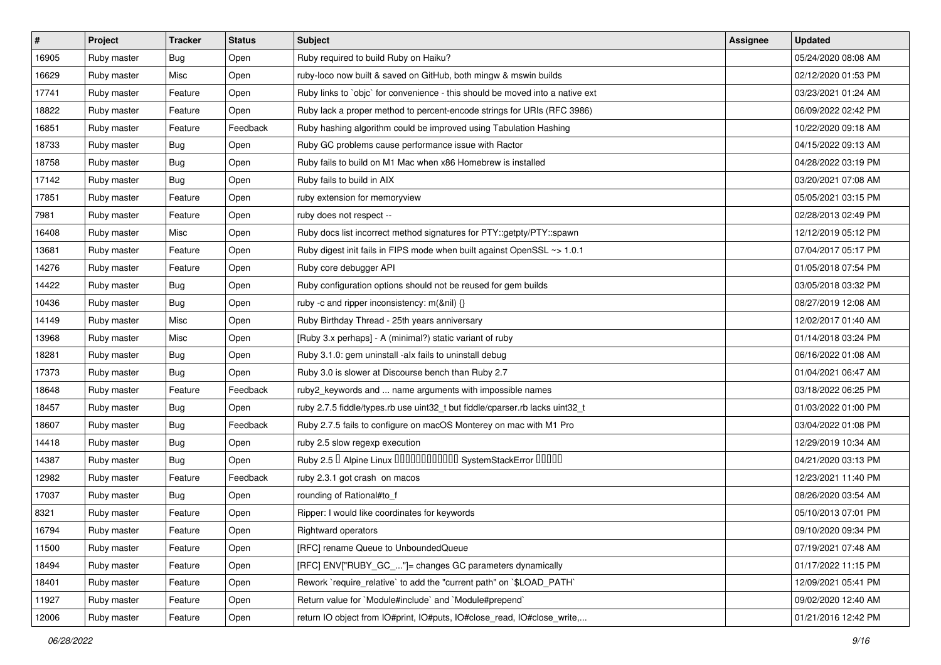| #     | Project     | <b>Tracker</b> | <b>Status</b> | Subject                                                                       | <b>Assignee</b> | <b>Updated</b>      |
|-------|-------------|----------------|---------------|-------------------------------------------------------------------------------|-----------------|---------------------|
| 16905 | Ruby master | Bug            | Open          | Ruby required to build Ruby on Haiku?                                         |                 | 05/24/2020 08:08 AM |
| 16629 | Ruby master | Misc           | Open          | ruby-loco now built & saved on GitHub, both mingw & mswin builds              |                 | 02/12/2020 01:53 PM |
| 17741 | Ruby master | Feature        | Open          | Ruby links to `objc` for convenience - this should be moved into a native ext |                 | 03/23/2021 01:24 AM |
| 18822 | Ruby master | Feature        | Open          | Ruby lack a proper method to percent-encode strings for URIs (RFC 3986)       |                 | 06/09/2022 02:42 PM |
| 16851 | Ruby master | Feature        | Feedback      | Ruby hashing algorithm could be improved using Tabulation Hashing             |                 | 10/22/2020 09:18 AM |
| 18733 | Ruby master | <b>Bug</b>     | Open          | Ruby GC problems cause performance issue with Ractor                          |                 | 04/15/2022 09:13 AM |
| 18758 | Ruby master | Bug            | Open          | Ruby fails to build on M1 Mac when x86 Homebrew is installed                  |                 | 04/28/2022 03:19 PM |
| 17142 | Ruby master | Bug            | Open          | Ruby fails to build in AIX                                                    |                 | 03/20/2021 07:08 AM |
| 17851 | Ruby master | Feature        | Open          | ruby extension for memoryview                                                 |                 | 05/05/2021 03:15 PM |
| 7981  | Ruby master | Feature        | Open          | ruby does not respect --                                                      |                 | 02/28/2013 02:49 PM |
| 16408 | Ruby master | Misc           | Open          | Ruby docs list incorrect method signatures for PTY::getpty/PTY::spawn         |                 | 12/12/2019 05:12 PM |
| 13681 | Ruby master | Feature        | Open          | Ruby digest init fails in FIPS mode when built against OpenSSL ~> 1.0.1       |                 | 07/04/2017 05:17 PM |
| 14276 | Ruby master | Feature        | Open          | Ruby core debugger API                                                        |                 | 01/05/2018 07:54 PM |
| 14422 | Ruby master | Bug            | Open          | Ruby configuration options should not be reused for gem builds                |                 | 03/05/2018 03:32 PM |
| 10436 | Ruby master | <b>Bug</b>     | Open          | ruby -c and ripper inconsistency: m(&nil) {}                                  |                 | 08/27/2019 12:08 AM |
| 14149 | Ruby master | Misc           | Open          | Ruby Birthday Thread - 25th years anniversary                                 |                 | 12/02/2017 01:40 AM |
| 13968 | Ruby master | Misc           | Open          | [Ruby 3.x perhaps] - A (minimal?) static variant of ruby                      |                 | 01/14/2018 03:24 PM |
| 18281 | Ruby master | <b>Bug</b>     | Open          | Ruby 3.1.0: gem uninstall -alx fails to uninstall debug                       |                 | 06/16/2022 01:08 AM |
| 17373 | Ruby master | Bug            | Open          | Ruby 3.0 is slower at Discourse bench than Ruby 2.7                           |                 | 01/04/2021 06:47 AM |
| 18648 | Ruby master | Feature        | Feedback      | ruby2_keywords and  name arguments with impossible names                      |                 | 03/18/2022 06:25 PM |
| 18457 | Ruby master | Bug            | Open          | ruby 2.7.5 fiddle/types.rb use uint32_t but fiddle/cparser.rb lacks uint32_t  |                 | 01/03/2022 01:00 PM |
| 18607 | Ruby master | <b>Bug</b>     | Feedback      | Ruby 2.7.5 fails to configure on macOS Monterey on mac with M1 Pro            |                 | 03/04/2022 01:08 PM |
| 14418 | Ruby master | <b>Bug</b>     | Open          | ruby 2.5 slow regexp execution                                                |                 | 12/29/2019 10:34 AM |
| 14387 | Ruby master | Bug            | Open          | Ruby 2.5 <sup>D</sup> Alpine Linux 000000000000 SystemStackError 00000        |                 | 04/21/2020 03:13 PM |
| 12982 | Ruby master | Feature        | Feedback      | ruby 2.3.1 got crash on macos                                                 |                 | 12/23/2021 11:40 PM |
| 17037 | Ruby master | Bug            | Open          | rounding of Rational#to_f                                                     |                 | 08/26/2020 03:54 AM |
| 8321  | Ruby master | Feature        | Open          | Ripper: I would like coordinates for keywords                                 |                 | 05/10/2013 07:01 PM |
| 16794 | Ruby master | Feature        | Open          | Rightward operators                                                           |                 | 09/10/2020 09:34 PM |
| 11500 | Ruby master | Feature        | Open          | [RFC] rename Queue to UnboundedQueue                                          |                 | 07/19/2021 07:48 AM |
| 18494 | Ruby master | Feature        | Open          | [RFC] ENV["RUBY_GC_"]= changes GC parameters dynamically                      |                 | 01/17/2022 11:15 PM |
| 18401 | Ruby master | Feature        | Open          | Rework `require relative` to add the "current path" on `\$LOAD PATH`          |                 | 12/09/2021 05:41 PM |
| 11927 | Ruby master | Feature        | Open          | Return value for `Module#include` and `Module#prepend`                        |                 | 09/02/2020 12:40 AM |
| 12006 | Ruby master | Feature        | Open          | return IO object from IO#print, IO#puts, IO#close_read, IO#close_write,       |                 | 01/21/2016 12:42 PM |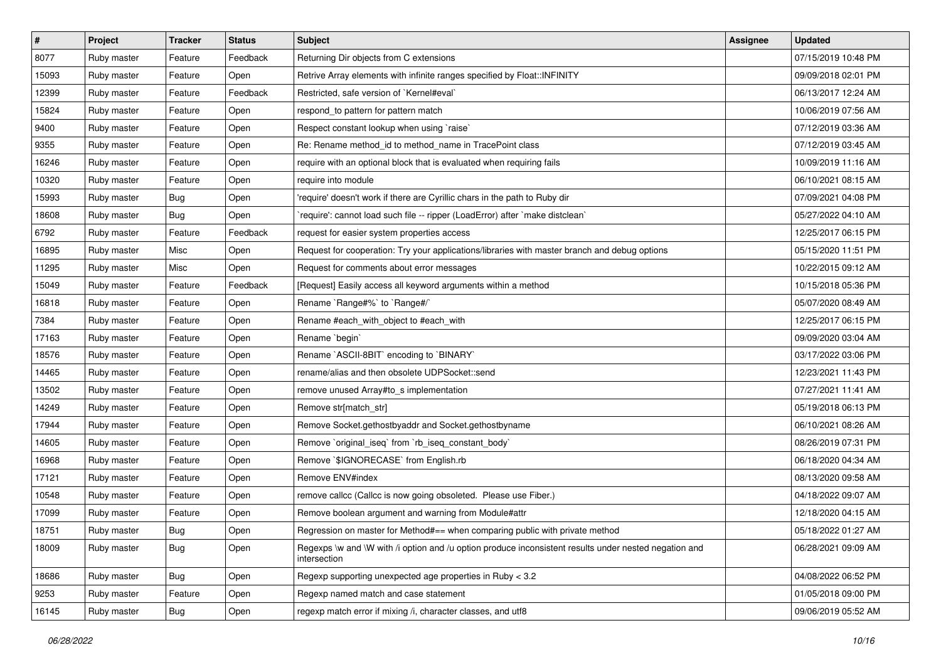| $\sharp$ | <b>Project</b> | <b>Tracker</b> | <b>Status</b> | Subject                                                                                                               | <b>Assignee</b> | <b>Updated</b>      |
|----------|----------------|----------------|---------------|-----------------------------------------------------------------------------------------------------------------------|-----------------|---------------------|
| 8077     | Ruby master    | Feature        | Feedback      | Returning Dir objects from C extensions                                                                               |                 | 07/15/2019 10:48 PM |
| 15093    | Ruby master    | Feature        | Open          | Retrive Array elements with infinite ranges specified by Float::INFINITY                                              |                 | 09/09/2018 02:01 PM |
| 12399    | Ruby master    | Feature        | Feedback      | Restricted, safe version of `Kernel#eval`                                                                             |                 | 06/13/2017 12:24 AM |
| 15824    | Ruby master    | Feature        | Open          | respond_to pattern for pattern match                                                                                  |                 | 10/06/2019 07:56 AM |
| 9400     | Ruby master    | Feature        | Open          | Respect constant lookup when using `raise`                                                                            |                 | 07/12/2019 03:36 AM |
| 9355     | Ruby master    | Feature        | Open          | Re: Rename method_id to method_name in TracePoint class                                                               |                 | 07/12/2019 03:45 AM |
| 16246    | Ruby master    | Feature        | Open          | require with an optional block that is evaluated when requiring fails                                                 |                 | 10/09/2019 11:16 AM |
| 10320    | Ruby master    | Feature        | Open          | require into module                                                                                                   |                 | 06/10/2021 08:15 AM |
| 15993    | Ruby master    | <b>Bug</b>     | Open          | 'require' doesn't work if there are Cyrillic chars in the path to Ruby dir                                            |                 | 07/09/2021 04:08 PM |
| 18608    | Ruby master    | <b>Bug</b>     | Open          | 'require': cannot load such file -- ripper (LoadError) after 'make distclean'                                         |                 | 05/27/2022 04:10 AM |
| 6792     | Ruby master    | Feature        | Feedback      | request for easier system properties access                                                                           |                 | 12/25/2017 06:15 PM |
| 16895    | Ruby master    | Misc           | Open          | Request for cooperation: Try your applications/libraries with master branch and debug options                         |                 | 05/15/2020 11:51 PM |
| 11295    | Ruby master    | Misc           | Open          | Request for comments about error messages                                                                             |                 | 10/22/2015 09:12 AM |
| 15049    | Ruby master    | Feature        | Feedback      | [Request] Easily access all keyword arguments within a method                                                         |                 | 10/15/2018 05:36 PM |
| 16818    | Ruby master    | Feature        | Open          | Rename `Range#%` to `Range#/`                                                                                         |                 | 05/07/2020 08:49 AM |
| 7384     | Ruby master    | Feature        | Open          | Rename #each_with_object to #each_with                                                                                |                 | 12/25/2017 06:15 PM |
| 17163    | Ruby master    | Feature        | Open          | Rename `begin`                                                                                                        |                 | 09/09/2020 03:04 AM |
| 18576    | Ruby master    | Feature        | Open          | Rename `ASCII-8BIT` encoding to `BINARY`                                                                              |                 | 03/17/2022 03:06 PM |
| 14465    | Ruby master    | Feature        | Open          | rename/alias and then obsolete UDPSocket::send                                                                        |                 | 12/23/2021 11:43 PM |
| 13502    | Ruby master    | Feature        | Open          | remove unused Array#to_s implementation                                                                               |                 | 07/27/2021 11:41 AM |
| 14249    | Ruby master    | Feature        | Open          | Remove str[match_str]                                                                                                 |                 | 05/19/2018 06:13 PM |
| 17944    | Ruby master    | Feature        | Open          | Remove Socket.gethostbyaddr and Socket.gethostbyname                                                                  |                 | 06/10/2021 08:26 AM |
| 14605    | Ruby master    | Feature        | Open          | Remove `original_iseq` from `rb_iseq_constant_body`                                                                   |                 | 08/26/2019 07:31 PM |
| 16968    | Ruby master    | Feature        | Open          | Remove `\$IGNORECASE` from English.rb                                                                                 |                 | 06/18/2020 04:34 AM |
| 17121    | Ruby master    | Feature        | Open          | Remove ENV#index                                                                                                      |                 | 08/13/2020 09:58 AM |
| 10548    | Ruby master    | Feature        | Open          | remove callcc (Callcc is now going obsoleted. Please use Fiber.)                                                      |                 | 04/18/2022 09:07 AM |
| 17099    | Ruby master    | Feature        | Open          | Remove boolean argument and warning from Module#attr                                                                  |                 | 12/18/2020 04:15 AM |
| 18751    | Ruby master    | Bug            | Open          | Regression on master for Method#== when comparing public with private method                                          |                 | 05/18/2022 01:27 AM |
| 18009    | Ruby master    | <b>Bug</b>     | Open          | Regexps \w and \W with /i option and /u option produce inconsistent results under nested negation and<br>intersection |                 | 06/28/2021 09:09 AM |
| 18686    | Ruby master    | Bug            | Open          | Regexp supporting unexpected age properties in Ruby < 3.2                                                             |                 | 04/08/2022 06:52 PM |
| 9253     | Ruby master    | Feature        | Open          | Regexp named match and case statement                                                                                 |                 | 01/05/2018 09:00 PM |
| 16145    | Ruby master    | <b>Bug</b>     | Open          | regexp match error if mixing /i, character classes, and utf8                                                          |                 | 09/06/2019 05:52 AM |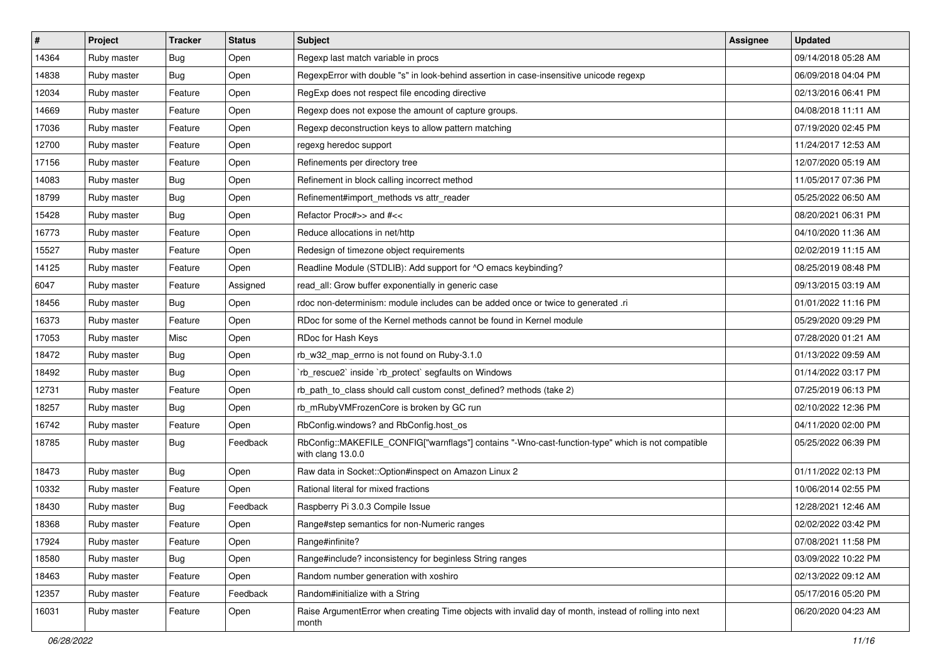| #     | Project     | <b>Tracker</b> | <b>Status</b> | Subject                                                                                                                | <b>Assignee</b> | <b>Updated</b>      |
|-------|-------------|----------------|---------------|------------------------------------------------------------------------------------------------------------------------|-----------------|---------------------|
| 14364 | Ruby master | <b>Bug</b>     | Open          | Regexp last match variable in procs                                                                                    |                 | 09/14/2018 05:28 AM |
| 14838 | Ruby master | Bug            | Open          | RegexpError with double "s" in look-behind assertion in case-insensitive unicode regexp                                |                 | 06/09/2018 04:04 PM |
| 12034 | Ruby master | Feature        | Open          | RegExp does not respect file encoding directive                                                                        |                 | 02/13/2016 06:41 PM |
| 14669 | Ruby master | Feature        | Open          | Regexp does not expose the amount of capture groups.                                                                   |                 | 04/08/2018 11:11 AM |
| 17036 | Ruby master | Feature        | Open          | Regexp deconstruction keys to allow pattern matching                                                                   |                 | 07/19/2020 02:45 PM |
| 12700 | Ruby master | Feature        | Open          | regexg heredoc support                                                                                                 |                 | 11/24/2017 12:53 AM |
| 17156 | Ruby master | Feature        | Open          | Refinements per directory tree                                                                                         |                 | 12/07/2020 05:19 AM |
| 14083 | Ruby master | Bug            | Open          | Refinement in block calling incorrect method                                                                           |                 | 11/05/2017 07:36 PM |
| 18799 | Ruby master | Bug            | Open          | Refinement#import_methods vs attr_reader                                                                               |                 | 05/25/2022 06:50 AM |
| 15428 | Ruby master | <b>Bug</b>     | Open          | Refactor Proc#>> and #<<                                                                                               |                 | 08/20/2021 06:31 PM |
| 16773 | Ruby master | Feature        | Open          | Reduce allocations in net/http                                                                                         |                 | 04/10/2020 11:36 AM |
| 15527 | Ruby master | Feature        | Open          | Redesign of timezone object requirements                                                                               |                 | 02/02/2019 11:15 AM |
| 14125 | Ruby master | Feature        | Open          | Readline Module (STDLIB): Add support for ^O emacs keybinding?                                                         |                 | 08/25/2019 08:48 PM |
| 6047  | Ruby master | Feature        | Assigned      | read all: Grow buffer exponentially in generic case                                                                    |                 | 09/13/2015 03:19 AM |
| 18456 | Ruby master | Bug            | Open          | rdoc non-determinism: module includes can be added once or twice to generated .ri                                      |                 | 01/01/2022 11:16 PM |
| 16373 | Ruby master | Feature        | Open          | RDoc for some of the Kernel methods cannot be found in Kernel module                                                   |                 | 05/29/2020 09:29 PM |
| 17053 | Ruby master | Misc           | Open          | RDoc for Hash Keys                                                                                                     |                 | 07/28/2020 01:21 AM |
| 18472 | Ruby master | Bug            | Open          | rb_w32_map_errno is not found on Ruby-3.1.0                                                                            |                 | 01/13/2022 09:59 AM |
| 18492 | Ruby master | Bug            | Open          | rb_rescue2` inside `rb_protect` segfaults on Windows                                                                   |                 | 01/14/2022 03:17 PM |
| 12731 | Ruby master | Feature        | Open          | rb_path_to_class should call custom const_defined? methods (take 2)                                                    |                 | 07/25/2019 06:13 PM |
| 18257 | Ruby master | Bug            | Open          | rb_mRubyVMFrozenCore is broken by GC run                                                                               |                 | 02/10/2022 12:36 PM |
| 16742 | Ruby master | Feature        | Open          | RbConfig.windows? and RbConfig.host_os                                                                                 |                 | 04/11/2020 02:00 PM |
| 18785 | Ruby master | Bug            | Feedback      | RbConfig::MAKEFILE_CONFIG["warnflags"] contains "-Wno-cast-function-type" which is not compatible<br>with clang 13.0.0 |                 | 05/25/2022 06:39 PM |
| 18473 | Ruby master | <b>Bug</b>     | Open          | Raw data in Socket:: Option#inspect on Amazon Linux 2                                                                  |                 | 01/11/2022 02:13 PM |
| 10332 | Ruby master | Feature        | Open          | Rational literal for mixed fractions                                                                                   |                 | 10/06/2014 02:55 PM |
| 18430 | Ruby master | Bug            | Feedback      | Raspberry Pi 3.0.3 Compile Issue                                                                                       |                 | 12/28/2021 12:46 AM |
| 18368 | Ruby master | Feature        | Open          | Range#step semantics for non-Numeric ranges                                                                            |                 | 02/02/2022 03:42 PM |
| 17924 | Ruby master | Feature        | Open          | Range#infinite?                                                                                                        |                 | 07/08/2021 11:58 PM |
| 18580 | Ruby master | <b>Bug</b>     | Open          | Range#include? inconsistency for beginless String ranges                                                               |                 | 03/09/2022 10:22 PM |
| 18463 | Ruby master | Feature        | Open          | Random number generation with xoshiro                                                                                  |                 | 02/13/2022 09:12 AM |
| 12357 | Ruby master | Feature        | Feedback      | Random#initialize with a String                                                                                        |                 | 05/17/2016 05:20 PM |
| 16031 | Ruby master | Feature        | Open          | Raise ArgumentError when creating Time objects with invalid day of month, instead of rolling into next<br>month        |                 | 06/20/2020 04:23 AM |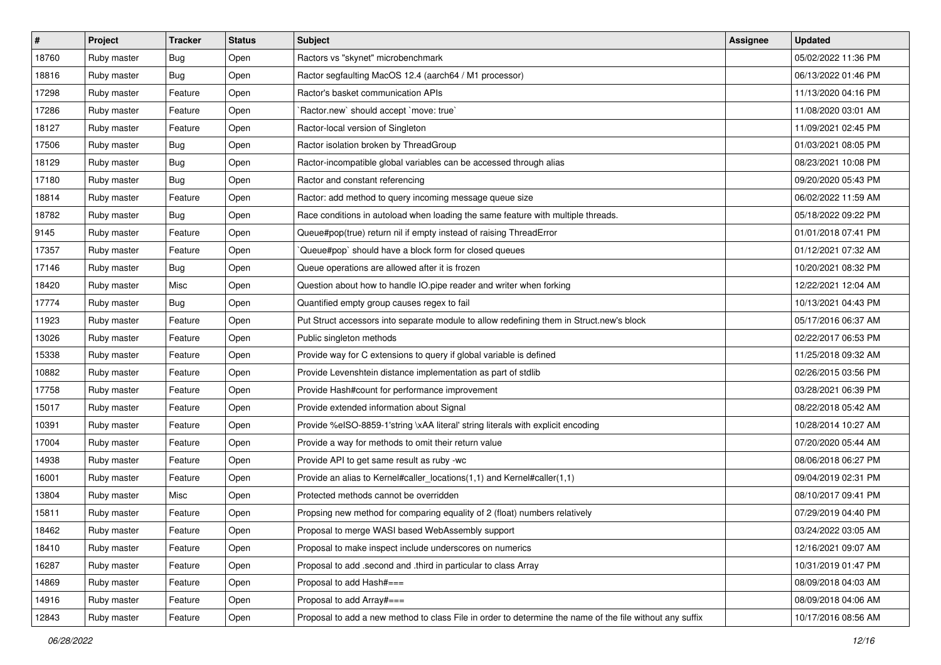| $\vert$ # | Project     | <b>Tracker</b> | <b>Status</b> | <b>Subject</b>                                                                                           | <b>Assignee</b> | <b>Updated</b>      |
|-----------|-------------|----------------|---------------|----------------------------------------------------------------------------------------------------------|-----------------|---------------------|
| 18760     | Ruby master | Bug            | Open          | Ractors vs "skynet" microbenchmark                                                                       |                 | 05/02/2022 11:36 PM |
| 18816     | Ruby master | Bug            | Open          | Ractor segfaulting MacOS 12.4 (aarch64 / M1 processor)                                                   |                 | 06/13/2022 01:46 PM |
| 17298     | Ruby master | Feature        | Open          | Ractor's basket communication APIs                                                                       |                 | 11/13/2020 04:16 PM |
| 17286     | Ruby master | Feature        | Open          | 'Ractor.new' should accept 'move: true'                                                                  |                 | 11/08/2020 03:01 AM |
| 18127     | Ruby master | Feature        | Open          | Ractor-local version of Singleton                                                                        |                 | 11/09/2021 02:45 PM |
| 17506     | Ruby master | Bug            | Open          | Ractor isolation broken by ThreadGroup                                                                   |                 | 01/03/2021 08:05 PM |
| 18129     | Ruby master | Bug            | Open          | Ractor-incompatible global variables can be accessed through alias                                       |                 | 08/23/2021 10:08 PM |
| 17180     | Ruby master | Bug            | Open          | Ractor and constant referencing                                                                          |                 | 09/20/2020 05:43 PM |
| 18814     | Ruby master | Feature        | Open          | Ractor: add method to query incoming message queue size                                                  |                 | 06/02/2022 11:59 AM |
| 18782     | Ruby master | Bug            | Open          | Race conditions in autoload when loading the same feature with multiple threads.                         |                 | 05/18/2022 09:22 PM |
| 9145      | Ruby master | Feature        | Open          | Queue#pop(true) return nil if empty instead of raising ThreadError                                       |                 | 01/01/2018 07:41 PM |
| 17357     | Ruby master | Feature        | Open          | Queue#pop` should have a block form for closed queues                                                    |                 | 01/12/2021 07:32 AM |
| 17146     | Ruby master | Bug            | Open          | Queue operations are allowed after it is frozen                                                          |                 | 10/20/2021 08:32 PM |
| 18420     | Ruby master | Misc           | Open          | Question about how to handle IO.pipe reader and writer when forking                                      |                 | 12/22/2021 12:04 AM |
| 17774     | Ruby master | Bug            | Open          | Quantified empty group causes regex to fail                                                              |                 | 10/13/2021 04:43 PM |
| 11923     | Ruby master | Feature        | Open          | Put Struct accessors into separate module to allow redefining them in Struct.new's block                 |                 | 05/17/2016 06:37 AM |
| 13026     | Ruby master | Feature        | Open          | Public singleton methods                                                                                 |                 | 02/22/2017 06:53 PM |
| 15338     | Ruby master | Feature        | Open          | Provide way for C extensions to query if global variable is defined                                      |                 | 11/25/2018 09:32 AM |
| 10882     | Ruby master | Feature        | Open          | Provide Levenshtein distance implementation as part of stdlib                                            |                 | 02/26/2015 03:56 PM |
| 17758     | Ruby master | Feature        | Open          | Provide Hash#count for performance improvement                                                           |                 | 03/28/2021 06:39 PM |
| 15017     | Ruby master | Feature        | Open          | Provide extended information about Signal                                                                |                 | 08/22/2018 05:42 AM |
| 10391     | Ruby master | Feature        | Open          | Provide %eISO-8859-1'string \xAA literal' string literals with explicit encoding                         |                 | 10/28/2014 10:27 AM |
| 17004     | Ruby master | Feature        | Open          | Provide a way for methods to omit their return value                                                     |                 | 07/20/2020 05:44 AM |
| 14938     | Ruby master | Feature        | Open          | Provide API to get same result as ruby -wc                                                               |                 | 08/06/2018 06:27 PM |
| 16001     | Ruby master | Feature        | Open          | Provide an alias to Kernel#caller_locations(1,1) and Kernel#caller(1,1)                                  |                 | 09/04/2019 02:31 PM |
| 13804     | Ruby master | Misc           | Open          | Protected methods cannot be overridden                                                                   |                 | 08/10/2017 09:41 PM |
| 15811     | Ruby master | Feature        | Open          | Propsing new method for comparing equality of 2 (float) numbers relatively                               |                 | 07/29/2019 04:40 PM |
| 18462     | Ruby master | Feature        | Open          | Proposal to merge WASI based WebAssembly support                                                         |                 | 03/24/2022 03:05 AM |
| 18410     | Ruby master | Feature        | Open          | Proposal to make inspect include underscores on numerics                                                 |                 | 12/16/2021 09:07 AM |
| 16287     | Ruby master | Feature        | Open          | Proposal to add .second and .third in particular to class Array                                          |                 | 10/31/2019 01:47 PM |
| 14869     | Ruby master | Feature        | Open          | Proposal to add Hash#===                                                                                 |                 | 08/09/2018 04:03 AM |
| 14916     | Ruby master | Feature        | Open          | Proposal to add Array#===                                                                                |                 | 08/09/2018 04:06 AM |
| 12843     | Ruby master | Feature        | Open          | Proposal to add a new method to class File in order to determine the name of the file without any suffix |                 | 10/17/2016 08:56 AM |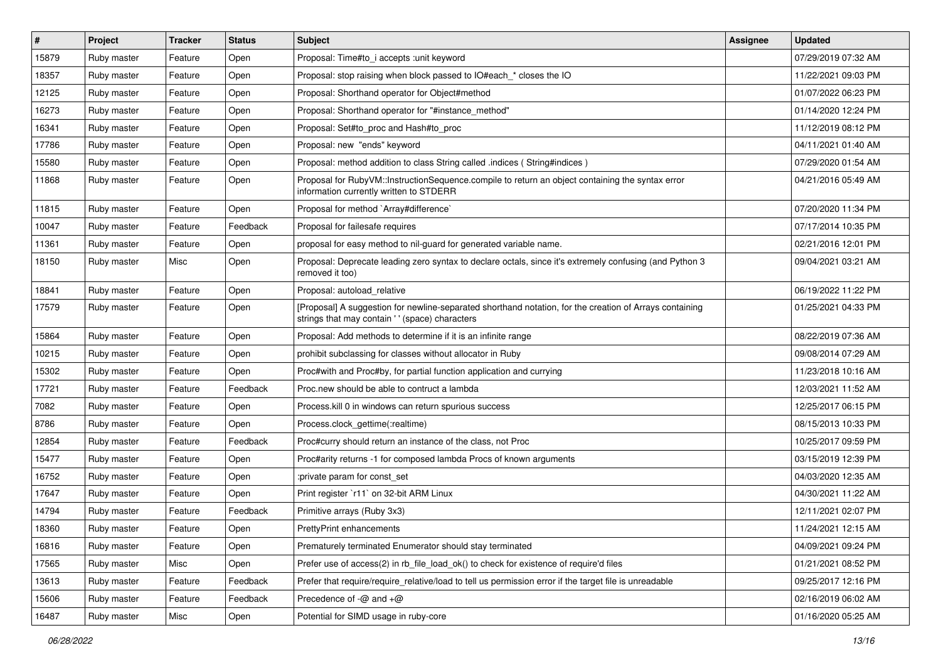| #     | <b>Project</b> | <b>Tracker</b> | <b>Status</b> | Subject                                                                                                                                                    | <b>Assignee</b> | <b>Updated</b>      |
|-------|----------------|----------------|---------------|------------------------------------------------------------------------------------------------------------------------------------------------------------|-----------------|---------------------|
| 15879 | Ruby master    | Feature        | Open          | Proposal: Time#to i accepts : unit keyword                                                                                                                 |                 | 07/29/2019 07:32 AM |
| 18357 | Ruby master    | Feature        | Open          | Proposal: stop raising when block passed to IO#each_* closes the IO                                                                                        |                 | 11/22/2021 09:03 PM |
| 12125 | Ruby master    | Feature        | Open          | Proposal: Shorthand operator for Object#method                                                                                                             |                 | 01/07/2022 06:23 PM |
| 16273 | Ruby master    | Feature        | Open          | Proposal: Shorthand operator for "#instance_method"                                                                                                        |                 | 01/14/2020 12:24 PM |
| 16341 | Ruby master    | Feature        | Open          | Proposal: Set#to_proc and Hash#to_proc                                                                                                                     |                 | 11/12/2019 08:12 PM |
| 17786 | Ruby master    | Feature        | Open          | Proposal: new "ends" keyword                                                                                                                               |                 | 04/11/2021 01:40 AM |
| 15580 | Ruby master    | Feature        | Open          | Proposal: method addition to class String called .indices (String#indices)                                                                                 |                 | 07/29/2020 01:54 AM |
| 11868 | Ruby master    | Feature        | Open          | Proposal for RubyVM::InstructionSequence.compile to return an object containing the syntax error<br>information currently written to STDERR                |                 | 04/21/2016 05:49 AM |
| 11815 | Ruby master    | Feature        | Open          | Proposal for method `Array#difference`                                                                                                                     |                 | 07/20/2020 11:34 PM |
| 10047 | Ruby master    | Feature        | Feedback      | Proposal for failesafe requires                                                                                                                            |                 | 07/17/2014 10:35 PM |
| 11361 | Ruby master    | Feature        | Open          | proposal for easy method to nil-guard for generated variable name.                                                                                         |                 | 02/21/2016 12:01 PM |
| 18150 | Ruby master    | Misc           | Open          | Proposal: Deprecate leading zero syntax to declare octals, since it's extremely confusing (and Python 3<br>removed it too)                                 |                 | 09/04/2021 03:21 AM |
| 18841 | Ruby master    | Feature        | Open          | Proposal: autoload relative                                                                                                                                |                 | 06/19/2022 11:22 PM |
| 17579 | Ruby master    | Feature        | Open          | [Proposal] A suggestion for newline-separated shorthand notation, for the creation of Arrays containing<br>strings that may contain ' ' (space) characters |                 | 01/25/2021 04:33 PM |
| 15864 | Ruby master    | Feature        | Open          | Proposal: Add methods to determine if it is an infinite range                                                                                              |                 | 08/22/2019 07:36 AM |
| 10215 | Ruby master    | Feature        | Open          | prohibit subclassing for classes without allocator in Ruby                                                                                                 |                 | 09/08/2014 07:29 AM |
| 15302 | Ruby master    | Feature        | Open          | Proc#with and Proc#by, for partial function application and currying                                                                                       |                 | 11/23/2018 10:16 AM |
| 17721 | Ruby master    | Feature        | Feedback      | Proc.new should be able to contruct a lambda                                                                                                               |                 | 12/03/2021 11:52 AM |
| 7082  | Ruby master    | Feature        | Open          | Process. kill 0 in windows can return spurious success                                                                                                     |                 | 12/25/2017 06:15 PM |
| 8786  | Ruby master    | Feature        | Open          | Process.clock_gettime(:realtime)                                                                                                                           |                 | 08/15/2013 10:33 PM |
| 12854 | Ruby master    | Feature        | Feedback      | Proc#curry should return an instance of the class, not Proc                                                                                                |                 | 10/25/2017 09:59 PM |
| 15477 | Ruby master    | Feature        | Open          | Proc#arity returns -1 for composed lambda Procs of known arguments                                                                                         |                 | 03/15/2019 12:39 PM |
| 16752 | Ruby master    | Feature        | Open          | :private param for const set                                                                                                                               |                 | 04/03/2020 12:35 AM |
| 17647 | Ruby master    | Feature        | Open          | Print register `r11` on 32-bit ARM Linux                                                                                                                   |                 | 04/30/2021 11:22 AM |
| 14794 | Ruby master    | Feature        | Feedback      | Primitive arrays (Ruby 3x3)                                                                                                                                |                 | 12/11/2021 02:07 PM |
| 18360 | Ruby master    | Feature        | Open          | PrettyPrint enhancements                                                                                                                                   |                 | 11/24/2021 12:15 AM |
| 16816 | Ruby master    | Feature        | Open          | Prematurely terminated Enumerator should stay terminated                                                                                                   |                 | 04/09/2021 09:24 PM |
| 17565 | Ruby master    | Misc           | Open          | Prefer use of access(2) in rb_file_load_ok() to check for existence of require'd files                                                                     |                 | 01/21/2021 08:52 PM |
| 13613 | Ruby master    | Feature        | Feedback      | Prefer that require/require_relative/load to tell us permission error if the target file is unreadable                                                     |                 | 09/25/2017 12:16 PM |
| 15606 | Ruby master    | Feature        | Feedback      | Precedence of $-\omega$ and $+\omega$                                                                                                                      |                 | 02/16/2019 06:02 AM |
| 16487 | Ruby master    | Misc           | Open          | Potential for SIMD usage in ruby-core                                                                                                                      |                 | 01/16/2020 05:25 AM |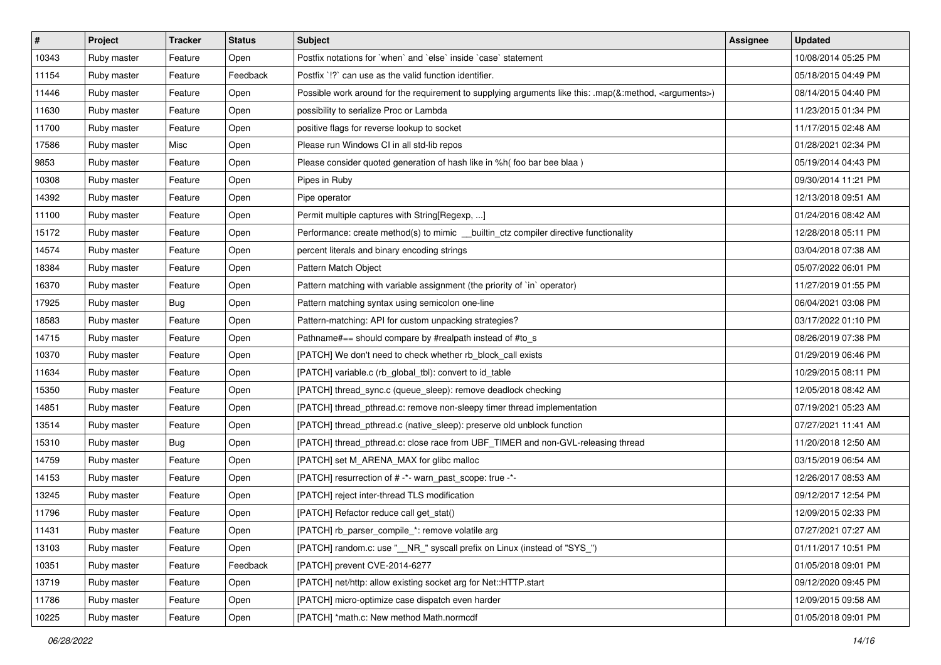| #     | Project     | <b>Tracker</b> | <b>Status</b> | <b>Subject</b>                                                                                                     | <b>Assignee</b> | <b>Updated</b>      |
|-------|-------------|----------------|---------------|--------------------------------------------------------------------------------------------------------------------|-----------------|---------------------|
| 10343 | Ruby master | Feature        | Open          | Postfix notations for `when` and `else` inside `case` statement                                                    |                 | 10/08/2014 05:25 PM |
| 11154 | Ruby master | Feature        | Feedback      | Postfix '!?' can use as the valid function identifier.                                                             |                 | 05/18/2015 04:49 PM |
| 11446 | Ruby master | Feature        | Open          | Possible work around for the requirement to supplying arguments like this: .map(&:method, <arguments>)</arguments> |                 | 08/14/2015 04:40 PM |
| 11630 | Ruby master | Feature        | Open          | possibility to serialize Proc or Lambda                                                                            |                 | 11/23/2015 01:34 PM |
| 11700 | Ruby master | Feature        | Open          | positive flags for reverse lookup to socket                                                                        |                 | 11/17/2015 02:48 AM |
| 17586 | Ruby master | Misc           | Open          | Please run Windows CI in all std-lib repos                                                                         |                 | 01/28/2021 02:34 PM |
| 9853  | Ruby master | Feature        | Open          | Please consider quoted generation of hash like in %h( foo bar bee blaa )                                           |                 | 05/19/2014 04:43 PM |
| 10308 | Ruby master | Feature        | Open          | Pipes in Ruby                                                                                                      |                 | 09/30/2014 11:21 PM |
| 14392 | Ruby master | Feature        | Open          | Pipe operator                                                                                                      |                 | 12/13/2018 09:51 AM |
| 11100 | Ruby master | Feature        | Open          | Permit multiple captures with String[Regexp, ]                                                                     |                 | 01/24/2016 08:42 AM |
| 15172 | Ruby master | Feature        | Open          | Performance: create method(s) to mimic __builtin_ctz compiler directive functionality                              |                 | 12/28/2018 05:11 PM |
| 14574 | Ruby master | Feature        | Open          | percent literals and binary encoding strings                                                                       |                 | 03/04/2018 07:38 AM |
| 18384 | Ruby master | Feature        | Open          | Pattern Match Object                                                                                               |                 | 05/07/2022 06:01 PM |
| 16370 | Ruby master | Feature        | Open          | Pattern matching with variable assignment (the priority of `in` operator)                                          |                 | 11/27/2019 01:55 PM |
| 17925 | Ruby master | Bug            | Open          | Pattern matching syntax using semicolon one-line                                                                   |                 | 06/04/2021 03:08 PM |
| 18583 | Ruby master | Feature        | Open          | Pattern-matching: API for custom unpacking strategies?                                                             |                 | 03/17/2022 01:10 PM |
| 14715 | Ruby master | Feature        | Open          | Pathname#== should compare by #realpath instead of #to_s                                                           |                 | 08/26/2019 07:38 PM |
| 10370 | Ruby master | Feature        | Open          | [PATCH] We don't need to check whether rb_block_call exists                                                        |                 | 01/29/2019 06:46 PM |
| 11634 | Ruby master | Feature        | Open          | [PATCH] variable.c (rb_global_tbl): convert to id_table                                                            |                 | 10/29/2015 08:11 PM |
| 15350 | Ruby master | Feature        | Open          | [PATCH] thread_sync.c (queue_sleep): remove deadlock checking                                                      |                 | 12/05/2018 08:42 AM |
| 14851 | Ruby master | Feature        | Open          | [PATCH] thread_pthread.c: remove non-sleepy timer thread implementation                                            |                 | 07/19/2021 05:23 AM |
| 13514 | Ruby master | Feature        | Open          | [PATCH] thread_pthread.c (native_sleep): preserve old unblock function                                             |                 | 07/27/2021 11:41 AM |
| 15310 | Ruby master | <b>Bug</b>     | Open          | [PATCH] thread_pthread.c: close race from UBF_TIMER and non-GVL-releasing thread                                   |                 | 11/20/2018 12:50 AM |
| 14759 | Ruby master | Feature        | Open          | [PATCH] set M_ARENA_MAX for glibc malloc                                                                           |                 | 03/15/2019 06:54 AM |
| 14153 | Ruby master | Feature        | Open          | [PATCH] resurrection of # -*- warn_past_scope: true -*-                                                            |                 | 12/26/2017 08:53 AM |
| 13245 | Ruby master | Feature        | Open          | [PATCH] reject inter-thread TLS modification                                                                       |                 | 09/12/2017 12:54 PM |
| 11796 | Ruby master | Feature        | Open          | [PATCH] Refactor reduce call get_stat()                                                                            |                 | 12/09/2015 02:33 PM |
| 11431 | Ruby master | Feature        | Open          | [PATCH] rb_parser_compile_*: remove volatile arg                                                                   |                 | 07/27/2021 07:27 AM |
| 13103 | Ruby master | Feature        | Open          | [PATCH] random.c: use "__NR_" syscall prefix on Linux (instead of "SYS_")                                          |                 | 01/11/2017 10:51 PM |
| 10351 | Ruby master | Feature        | Feedback      | [PATCH] prevent CVE-2014-6277                                                                                      |                 | 01/05/2018 09:01 PM |
| 13719 | Ruby master | Feature        | Open          | [PATCH] net/http: allow existing socket arg for Net::HTTP.start                                                    |                 | 09/12/2020 09:45 PM |
| 11786 | Ruby master | Feature        | Open          | [PATCH] micro-optimize case dispatch even harder                                                                   |                 | 12/09/2015 09:58 AM |
| 10225 | Ruby master | Feature        | Open          | [PATCH] *math.c: New method Math.normcdf                                                                           |                 | 01/05/2018 09:01 PM |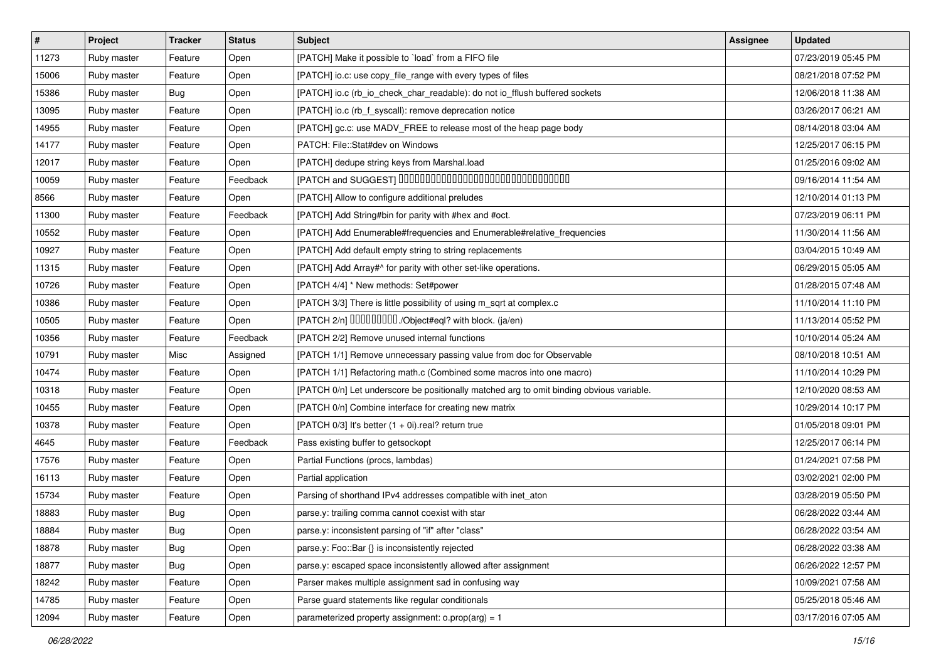| $\vert$ # | Project     | <b>Tracker</b> | <b>Status</b> | <b>Subject</b>                                                                           | <b>Assignee</b> | <b>Updated</b>      |
|-----------|-------------|----------------|---------------|------------------------------------------------------------------------------------------|-----------------|---------------------|
| 11273     | Ruby master | Feature        | Open          | [PATCH] Make it possible to `load` from a FIFO file                                      |                 | 07/23/2019 05:45 PM |
| 15006     | Ruby master | Feature        | Open          | [PATCH] io.c: use copy_file_range with every types of files                              |                 | 08/21/2018 07:52 PM |
| 15386     | Ruby master | Bug            | Open          | [PATCH] io.c (rb_io_check_char_readable): do not io_fflush buffered sockets              |                 | 12/06/2018 11:38 AM |
| 13095     | Ruby master | Feature        | Open          | [PATCH] io.c (rb_f_syscall): remove deprecation notice                                   |                 | 03/26/2017 06:21 AM |
| 14955     | Ruby master | Feature        | Open          | [PATCH] gc.c: use MADV_FREE to release most of the heap page body                        |                 | 08/14/2018 03:04 AM |
| 14177     | Ruby master | Feature        | Open          | PATCH: File::Stat#dev on Windows                                                         |                 | 12/25/2017 06:15 PM |
| 12017     | Ruby master | Feature        | Open          | [PATCH] dedupe string keys from Marshal.load                                             |                 | 01/25/2016 09:02 AM |
| 10059     | Ruby master | Feature        | Feedback      | [PATCH and SUGGEST] 0000000000000000000000000000000                                      |                 | 09/16/2014 11:54 AM |
| 8566      | Ruby master | Feature        | Open          | [PATCH] Allow to configure additional preludes                                           |                 | 12/10/2014 01:13 PM |
| 11300     | Ruby master | Feature        | Feedback      | [PATCH] Add String#bin for parity with #hex and #oct.                                    |                 | 07/23/2019 06:11 PM |
| 10552     | Ruby master | Feature        | Open          | [PATCH] Add Enumerable#frequencies and Enumerable#relative_frequencies                   |                 | 11/30/2014 11:56 AM |
| 10927     | Ruby master | Feature        | Open          | [PATCH] Add default empty string to string replacements                                  |                 | 03/04/2015 10:49 AM |
| 11315     | Ruby master | Feature        | Open          | [PATCH] Add Array#^ for parity with other set-like operations.                           |                 | 06/29/2015 05:05 AM |
| 10726     | Ruby master | Feature        | Open          | [PATCH 4/4] * New methods: Set#power                                                     |                 | 01/28/2015 07:48 AM |
| 10386     | Ruby master | Feature        | Open          | [PATCH 3/3] There is little possibility of using m_sqrt at complex.c                     |                 | 11/10/2014 11:10 PM |
| 10505     | Ruby master | Feature        | Open          | [PATCH 2/n] DDDDDDDD./Object#eql? with block. (ja/en)                                    |                 | 11/13/2014 05:52 PM |
| 10356     | Ruby master | Feature        | Feedback      | [PATCH 2/2] Remove unused internal functions                                             |                 | 10/10/2014 05:24 AM |
| 10791     | Ruby master | Misc           | Assigned      | [PATCH 1/1] Remove unnecessary passing value from doc for Observable                     |                 | 08/10/2018 10:51 AM |
| 10474     | Ruby master | Feature        | Open          | [PATCH 1/1] Refactoring math.c (Combined some macros into one macro)                     |                 | 11/10/2014 10:29 PM |
| 10318     | Ruby master | Feature        | Open          | [PATCH 0/n] Let underscore be positionally matched arg to omit binding obvious variable. |                 | 12/10/2020 08:53 AM |
| 10455     | Ruby master | Feature        | Open          | [PATCH 0/n] Combine interface for creating new matrix                                    |                 | 10/29/2014 10:17 PM |
| 10378     | Ruby master | Feature        | Open          | [PATCH 0/3] It's better (1 + 0i).real? return true                                       |                 | 01/05/2018 09:01 PM |
| 4645      | Ruby master | Feature        | Feedback      | Pass existing buffer to getsockopt                                                       |                 | 12/25/2017 06:14 PM |
| 17576     | Ruby master | Feature        | Open          | Partial Functions (procs, lambdas)                                                       |                 | 01/24/2021 07:58 PM |
| 16113     | Ruby master | Feature        | Open          | Partial application                                                                      |                 | 03/02/2021 02:00 PM |
| 15734     | Ruby master | Feature        | Open          | Parsing of shorthand IPv4 addresses compatible with inet_aton                            |                 | 03/28/2019 05:50 PM |
| 18883     | Ruby master | <b>Bug</b>     | Open          | parse.y: trailing comma cannot coexist with star                                         |                 | 06/28/2022 03:44 AM |
| 18884     | Ruby master | <b>Bug</b>     | Open          | parse.y: inconsistent parsing of "if" after "class"                                      |                 | 06/28/2022 03:54 AM |
| 18878     | Ruby master | Bug            | Open          | parse.y: Foo::Bar {} is inconsistently rejected                                          |                 | 06/28/2022 03:38 AM |
| 18877     | Ruby master | Bug            | Open          | parse.y: escaped space inconsistently allowed after assignment                           |                 | 06/26/2022 12:57 PM |
| 18242     | Ruby master | Feature        | Open          | Parser makes multiple assignment sad in confusing way                                    |                 | 10/09/2021 07:58 AM |
| 14785     | Ruby master | Feature        | Open          | Parse guard statements like regular conditionals                                         |                 | 05/25/2018 05:46 AM |
| 12094     | Ruby master | Feature        | Open          | parameterized property assignment: $o.prop(arg) = 1$                                     |                 | 03/17/2016 07:05 AM |